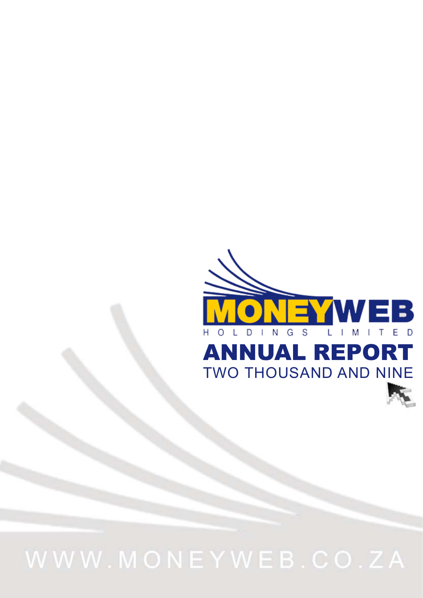

# WWW.MONEYWEB.CO.ZA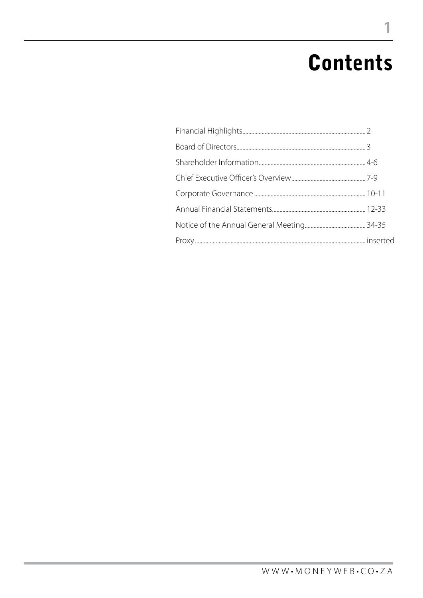## **Contents**

1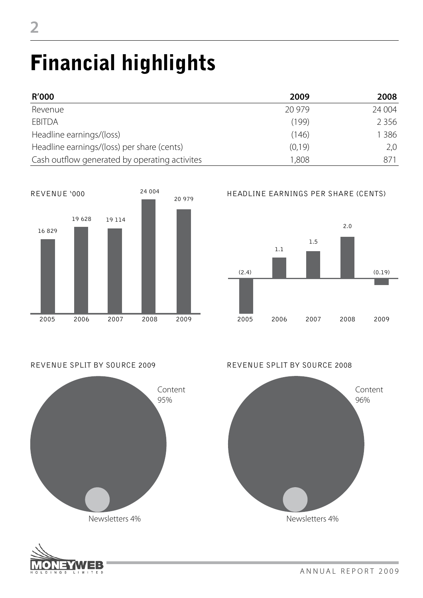# Financial highlights

| <b>R'000</b>                                  | 2009    | 2008    |
|-----------------------------------------------|---------|---------|
| Revenue                                       | 20 979  | 24 004  |
| <b>EBITDA</b>                                 | (199)   | 2 3 5 6 |
| Headline earnings/(loss)                      | (146)   | 386     |
| Headline earnings/(loss) per share (cents)    | (0, 19) | 2,0     |
| Cash outflow generated by operating activites | 1,808   | 871     |





Newsletters 4%





#### REVENUE SPLIT BY SOURCE 2009 REVENUE SPLIT BY SOURCE 2008



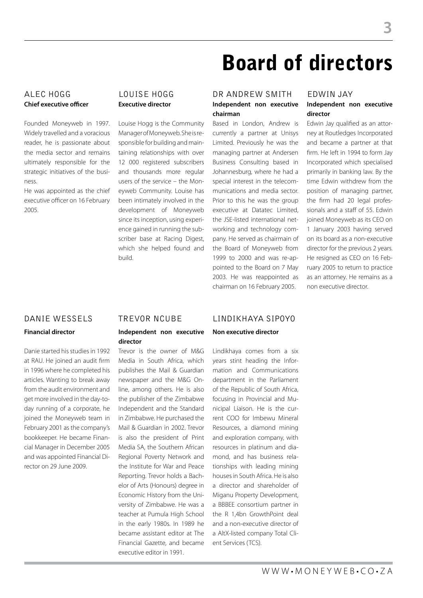## **Chief executive officer**

Founded Moneyweb in 1997. Widely travelled and a voracious reader, he is passionate about the media sector and remains ultimately responsible for the strategic initiatives of the business.

He was appointed as the chief executive officer on 16 February 2005.

## **Executive director**

Louise Hogg is the Community Manager of Moneyweb. She is responsible for building and maintaining relationships with over 12 000 registered subscribers and thousands more regular users of the service – the Moneyweb Community. Louise has been intimately involved in the development of Moneyweb since its inception, using experience gained in running the subscriber base at Racing Digest, which she helped found and build.

### ALEC HOGG LOUISE HOGG DR ANDREW SMITH EDWIN JAY **Independent non executive chairman**

Based in London, Andrew is currently a partner at Unisys Limited. Previously he was the managing partner at Andersen Business Consulting based in Johannesburg, where he had a special interest in the telecommunications and media sector. Prior to this he was the group executive at Datatec Limited, the JSE-listed international networking and technology company. He served as chairmain of the Board of Moneyweb from 1999 to 2000 and was re-appointed to the Board on 7 May 2003. He was reappointed as chairman on 16 February 2005.

## **Independent non executive**

**director** Edwin Jay qualified as an attorney at Routledges Incorporated and became a partner at that firm. He left in 1994 to form Jay Incorporated which specialised primarily in banking law. By the time Edwin withdrew from the position of managing partner, the firm had 20 legal professionals and a staff of 55. Edwin joined Moneyweb as its CEO on 1 January 2003 having served on its board as a non-executive director for the previous 2 years. He resigned as CEO on 16 February 2005 to return to practice as an attorney. He remains as a non executive director.

#### **Financial director**

Danie started his studies in 1992 at RAU. He joined an audit firm in 1996 where he completed his articles. Wanting to break away from the audit environment and get more involved in the day-today running of a corporate, he joined the Moneyweb team in February 2001 as the company's bookkeeper. He became Financial Manager in December 2005 and was appointed Financial Director on 29 June 2009.

#### **Independent non executive director**

Trevor is the owner of M&G Media in South Africa, which publishes the Mail & Guardian newspaper and the M&G Online, among others. He is also the publisher of the Zimbabwe Independent and the Standard in Zimbabwe. He purchased the Mail & Guardian in 2002. Trevor is also the president of Print Media SA, the Southern African Regional Poverty Network and the Institute for War and Peace Reporting. Trevor holds a Bachelor of Arts (Honours) degree in Economic History from the University of Zimbabwe. He was a teacher at Pumula High School in the early 1980s. In 1989 he became assistant editor at The Financial Gazette, and became executive editor in 1991.

## DANIE WESSELS TREVOR NCUBE Lindikhaya Sipoyo

#### **Non executive director**

Lindikhaya comes from a six years stint heading the Information and Communications department in the Parliament of the Republic of South Africa, focusing in Provincial and Municipal Liaison. He is the current COO for Imbewu Mineral Resources, a diamond mining and exploration company, with resources in platinum and diamond, and has business relationships with leading mining houses in South Africa. He is also a director and shareholder of Miganu Property Development, a BBBEE consortium partner in the R 1,4bn GrowthPoint deal and a non-executive director of a AltX-listed company Total Client Services (TCS).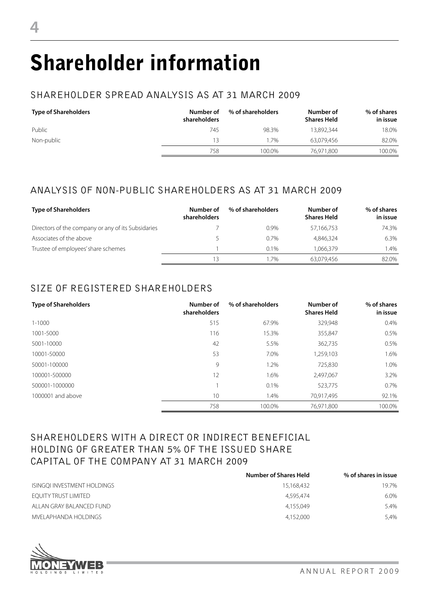# Shareholder information

## SHAREHOLDER SPREAD ANALYSIS AS AT 31 MARCH 2009

| <b>Type of Shareholders</b> | Number of<br>shareholders | % of shareholders | Number of<br><b>Shares Held</b> | % of shares<br>in issue |
|-----------------------------|---------------------------|-------------------|---------------------------------|-------------------------|
| Public                      | 745                       | 98.3%             | 13.892.344                      | 18.0%                   |
| Non-public                  | 13                        | .7%               | 63.079.456                      | 82.0%                   |
|                             | 758                       | 100.0%            | 76,971,800                      | 100.0%                  |

## ANALYSIS OF NON-PUBLIC SHAREHOLDERS AS AT 31 MARCH 2009

| <b>Type of Shareholders</b>                        | Number of<br>shareholders | % of shareholders | Number of<br><b>Shares Held</b> | % of shares<br>in issue |
|----------------------------------------------------|---------------------------|-------------------|---------------------------------|-------------------------|
| Directors of the company or any of its Subsidaries |                           | $0.9\%$           | 57,166,753                      | 74.3%                   |
| Associates of the above                            |                           | $0.7\%$           | 4.846.324                       | 6.3%                    |
| Trustee of employees' share schemes                |                           | $0.1\%$           | 1.066.379                       | $.4\%$                  |
|                                                    | 13                        | 1.7%              | 63.079.456                      | 82.0%                   |

## SIZE OF REGISTERED SHAREHOLDERS

| <b>Type of Shareholders</b> | Number of<br>shareholders | % of shareholders | Number of<br><b>Shares Held</b> | % of shares<br>in issue |
|-----------------------------|---------------------------|-------------------|---------------------------------|-------------------------|
| $1 - 1000$                  | 515                       | 67.9%             | 329,948                         | $0.4\%$                 |
| 1001-5000                   | 116                       | 15.3%             | 355,847                         | 0.5%                    |
| 5001-10000                  | 42                        | 5.5%              | 362,735                         | 0.5%                    |
| 10001-50000                 | 53                        | 7.0%              | 1,259,103                       | 1.6%                    |
| 50001-100000                | 9                         | 1.2%              | 725,830                         | 1.0%                    |
| 100001-500000               | 12                        | 1.6%              | 2,497,067                       | 3.2%                    |
| 500001-1000000              |                           | 0.1%              | 523,775                         | 0.7%                    |
| 1000001 and above           | 10                        | 1.4%              | 70,917,495                      | 92.1%                   |
|                             | 758                       | 100.0%            | 76.971.800                      | 100.0%                  |

### SHAREHOLDERS WITH A DIRECT OR INDIRECT BENEFICIAL HOLDING OF GREATER THAN 5% OF THE ISSUED SHARE CAPITAL OF THE COMPANY AT 31 MARCH 2009

|                             | <b>Number of Shares Held</b> | % of shares in issue |
|-----------------------------|------------------------------|----------------------|
| ISINGQI INVESTMENT HOLDINGS | 15,168,432                   | 19.7%                |
| EQUITY TRUST LIMITED        | 4,595,474                    | 6.0%                 |
| ALLAN GRAY BALANCED FUND    | 4.155.049                    | 5.4%                 |
| MVFI APHANDA HOI DINGS      | 4.152.000                    | 5.4%                 |

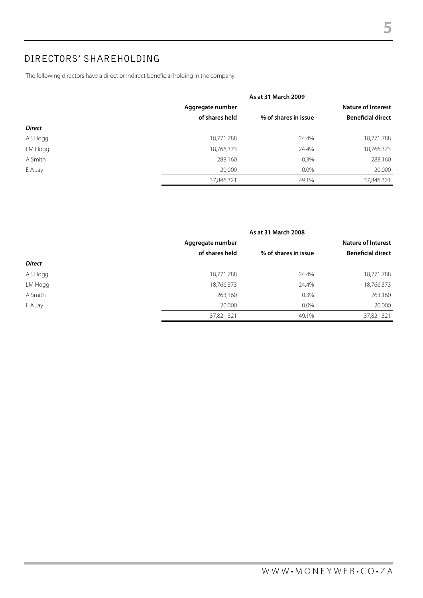## DIRECTORS' SHAREHOLDING

The following directors have a direct or indirect beneficial holding in the company

|               |                  | As at 31 March 2009  |                           |
|---------------|------------------|----------------------|---------------------------|
|               | Aggregate number |                      | <b>Nature of Interest</b> |
|               | of shares held   | % of shares in issue | <b>Beneficial direct</b>  |
| <b>Direct</b> |                  |                      |                           |
| AB Hogg       | 18,771,788       | 24.4%                | 18,771,788                |
| LM Hogg       | 18,766,373       | 24.4%                | 18,766,373                |
| A Smith       | 288,160          | 0.3%                 | 288,160                   |
| E A Jay       | 20,000           | $0.0\%$              | 20,000                    |
|               | 37,846,321       | 49.1%                | 37,846,321                |

|               | As at 31 March 2008 |                      |                           |
|---------------|---------------------|----------------------|---------------------------|
|               | Aggregate number    |                      | <b>Nature of Interest</b> |
|               | of shares held      | % of shares in issue | <b>Beneficial direct</b>  |
| <b>Direct</b> |                     |                      |                           |
| AB Hogg       | 18,771,788          | 24.4%                | 18,771,788                |
| LM Hogg       | 18,766,373          | 24.4%                | 18,766,373                |
| A Smith       | 263,160             | 0.3%                 | 263,160                   |
| E A Jay       | 20,000              | $0.0\%$              | 20,000                    |
|               | 37,821,321          | 49.1%                | 37,821,321                |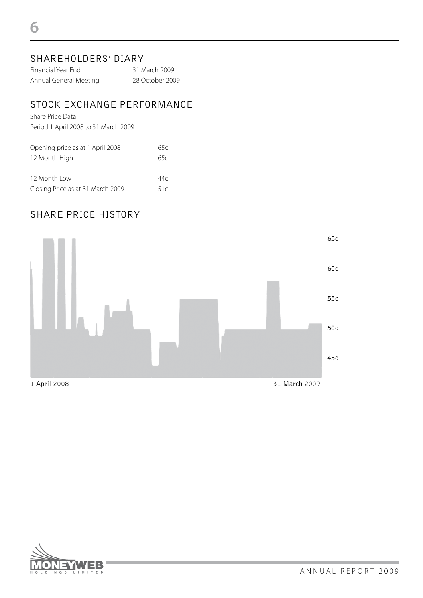### SHAREHOLDERS' DIARY

| Financial Year End     | 31 March 2009   |
|------------------------|-----------------|
| Annual General Meeting | 28 October 2009 |

### STOCK EXCHANGE PERFORMANCE

Share Price Data Period 1 April 2008 to 31 March 2009

| Opening price as at 1 April 2008  | 65c |
|-----------------------------------|-----|
| 12 Month High                     | 65c |
|                                   |     |
| 12 Month Low                      | 44c |
| Closing Price as at 31 March 2009 | 51c |

### SHARE PRICE HISTORY



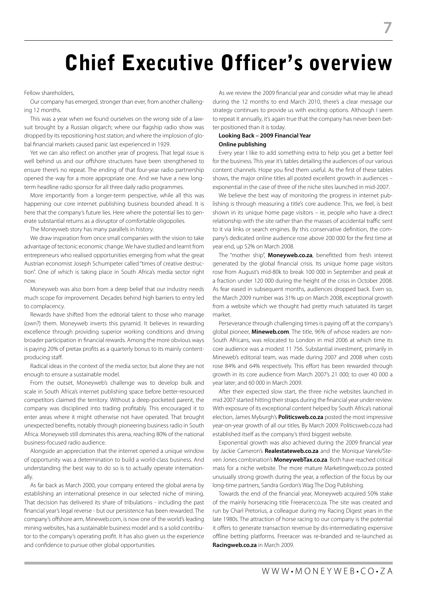## Chief Executive Officer's overview

#### Fellow shareholders,

Our company has emerged, stronger than ever, from another challenging 12 months.

This was a year when we found ourselves on the wrong side of a lawsuit brought by a Russian oligarch; where our flagship radio show was dropped by its repositioning host station; and where the implosion of global financial markets caused panic last experienced in 1929.

Yet we can also reflect on another year of progress. That legal issue is well behind us and our offshore structures have been strengthened to ensure there's no repeat. The ending of that four-year radio partnership opened the way for a more appropriate one. And we have a new longterm headline radio sponsor for all three daily radio programmes.

More importantly from a longer-term perspective, while all this was happening our core internet publishing business bounded ahead. It is here that the company's future lies. Here where the potential lies to generate substantial returns as a disruptor of comfortable oligopolies.

The Moneyweb story has many parallels in history.

We draw inspiration from once small companies with the vision to take advantage of tectonic economic change. We have studied and learnt from entrepreneurs who realised opportunities emerging from what the great Austrian economist Joseph Schumpeter called "times of creative destruction". One of which is taking place in South Africa's media sector right now.

Moneyweb was also born from a deep belief that our industry needs much scope for improvement. Decades behind high barriers to entry led to complacency.

Rewards have shifted from the editorial talent to those who manage (own?) them. Moneyweb inverts this pyramid. It believes in rewarding excellence through providing superior working conditions and driving broader participation in financial rewards. Among the more obvious ways is paying 20% of pretax profits as a quarterly bonus to its mainly contentproducing staff.

Radical ideas in the context of the media sector, but alone they are not enough to ensure a sustainable model.

From the outset, Moneyweb's challenge was to develop bulk and scale in South Africa's internet publishing space before better-resourced competitors claimed the territory. Without a deep-pocketed parent, the company was disciplined into trading profitably. This encouraged it to enter areas where it might otherwise not have operated. That brought unexpected benefits, notably through pioneering business radio in South Africa. Moneyweb still dominates this arena, reaching 80% of the national business-focused radio audience.

Alongside an appreciation that the internet opened a unique window of opportunity was a determination to build a world-class business. And understanding the best way to do so is to actually operate internationally.

As far back as March 2000, your company entered the global arena by establishing an international presence in our selected niche of mining. That decision has delivered its share of tribulations - including the past financial year's legal reverse - but our persistence has been rewarded. The company's offshore arm, Mineweb.com, is now one of the world's leading mining websites, has a sustainable business model and is a solid contributor to the company's operating profit. It has also given us the experience and confidence to pursue other global opportunities.

As we review the 2009 financial year and consider what may lie ahead during the 12 months to end March 2010, there's a clear message our strategy continues to provide us with exciting options. Although I seem to repeat it annually, it's again true that the company has never been better positioned than it is today.

#### **Looking Back – 2009 Financial Year Online publishing**

Every year I like to add something extra to help you get a better feel for the business. This year it's tables detailing the audiences of our various content channels. Hope you find them useful. As the first of these tables shows, the major online titles all posted excellent growth in audiences – exponential in the case of three of the niche sites launched in mid-2007.

We believe the best way of monitoring the progress in internet publishing is through measuring a title's core audience. This, we feel, is best shown in its unique home page visitors – ie, people who have a direct relationship with the site rather than the masses of accidental traffic sent to it via links or search engines. By this conservative definition, the company's dedicated online audience rose above 200 000 for the first time at year end, up 52% on March 2008.

The "mother ship", **Moneyweb.co.za**, benefitted from fresh interest generated by the global financial crisis. Its unique home page visitors rose from August's mid-80k to break 100 000 in September and peak at a fraction under 120 000 during the height of the crisis in October 2008. As fear eased in subsequent months, audiences dropped back. Even so, the March 2009 number was 31% up on March 2008, exceptional growth from a website which we thought had pretty much saturated its target market.

Perseverance through challenging times is paying off at the company's global pioneer, **Mineweb.com**. The title, 96% of whose readers are non-South Africans, was relocated to London in mid 2006 at which time its core audience was a modest 11 756. Substantial investment, primarily in Mineweb's editorial team, was made during 2007 and 2008 when costs rose 84% and 64% respectively. This effort has been rewarded through growth in its core audience from March 2007's 21 000; to over 40 000 a year later; and 60 000 in March 2009.

After their expected slow start, the three niche websites launched in mid 2007 started hitting their straps during the financial year under review. With exposure of its exceptional content helped by South Africa's national election, James Myburgh's **Politicsweb.co.za** posted the most impressive year-on-year growth of all our titles. By March 2009. Politicsweb.co.za had established itself as the company's third biggest website.

Exponential growth was also achieved during the 2009 financial year by Jackie Cameron's **Realestateweb.co.za** and the Monique Vanek/Steven Jones combination's **MoneywebTax.co.za**. Both have reached critical mass for a niche website. The more mature Marketingweb.co.za posted unusually strong growth during the year, a reflection of the focus by our long-time partners, Sandra Gordon's Wag The Dog Publishing.

Towards the end of the financial year, Moneyweb acquired 50% stake of the mainly horseracing title Freeracer.co.za. The site was created and run by Charl Pretorius, a colleague during my Racing Digest years in the late 1980s. The attraction of horse racing to our company is the potential it offers to generate transaction revenue by dis-intermediating expensive offline betting platforms. Freeracer was re-branded and re-launched as **Racingweb.co.za** in March 2009.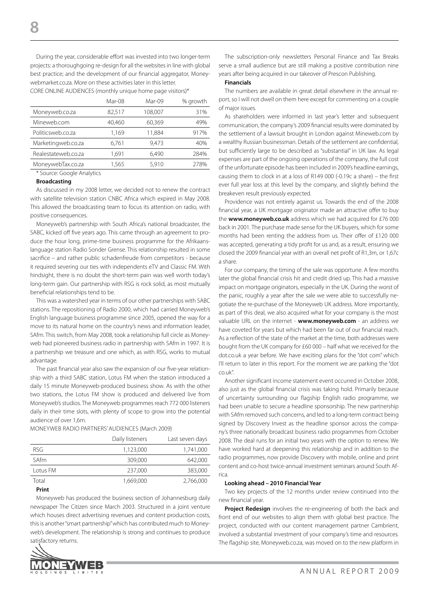During the year, considerable effort was invested into two longer-term projects: a thoroughgoing re-design for all the websites in line with global best practice; and the development of our financial aggregator, Moneywebmarket.co.za. More on these activities later in this letter.

CORE ONLINE AUDIENCES (monthly unique home page visitors)\*

|                     | Mar-08 | Mar-09  | % growth |
|---------------------|--------|---------|----------|
| Moneyweb.co.za      | 82.517 | 108.007 | 31%      |
| Mineweb.com         | 40,460 | 60,369  | 49%      |
| Politicsweb.co.za   | 1,169  | 11.884  | 917%     |
| Marketingweb.co.za  | 6,761  | 9.473   | 40%      |
| Realestateweb.co.za | 1.691  | 6.490   | 284%     |
| MoneywebTax.co.za   | 1,565  | 5,910   | 278%     |
|                     |        |         |          |

#### \* Source: Google Analytics

#### **Broadcasting**

As discussed in my 2008 letter, we decided not to renew the contract with satellite television station CNBC Africa which expired in May 2008. This allowed the broadcasting team to focus its attention on radio, with positive consequences.

Moneyweb's partnership with South Africa's national broadcaster, the SABC, kicked off five years ago. This came through an agreement to produce the hour long, prime-time business programme for the Afrikaanslanguage station Radio Sonder Grense. This relationship resulted in some sacrifice – and rather public schadenfreude from competitors - because it required severing our ties with independents eTV and Classic FM. With hindsight, there is no doubt the short-term pain was well worth today's long-term gain. Our partnership with RSG is rock solid, as most mutually beneficial relationships tend to be.

This was a watershed year in terms of our other partnerships with SABC stations. The repositioning of Radio 2000, which had carried Moneyweb's English language business programme since 2005, opened the way for a move to its natural home on the country's news and information leader, SAfm. This switch, from May 2008, took a relationship full circle as Moneyweb had pioneered business radio in partnership with SAfm in 1997. It is a partnership we treasure and one which, as with RSG, works to mutual advantage.

The past financial year also saw the expansion of our five-year relationship with a third SABC station, Lotus FM when the station introduced a daily 15 minute Moneyweb-produced business show. As with the other two stations, the Lotus FM show is produced and delivered live from Moneyweb's studios. The Moneyweb programmes reach 772 000 listeners daily in their time slots, with plenty of scope to grow into the potential audience of over 1,6m.

Moneyweb radio partners' audiences (March 2009)

|             | Daily listeners | Last seven days |
|-------------|-----------------|-----------------|
| RSG.        | 1.123.000       | 1.741.000       |
| <b>SAfm</b> | 309,000         | 642.000         |
| Lotus FM    | 237.000         | 383,000         |
| Total       | 1,669,000       | 2,766,000       |

#### **Print**

Moneyweb has produced the business section of Johannesburg daily newspaper The Citizen since March 2003. Structured in a joint venture which houses direct advertising revenues and content production costs, this is another "smart partnership" which has contributed much to Moneyweb's development. The relationship is strong and continues to produce satisfactory returns.



The subscription-only newsletters Personal Finance and Tax Breaks serve a small audience but are still making a positive contribution nine years after being acquired in our takeover of Prescon Publishing.

#### **Financials**

The numbers are available in great detail elsewhere in the annual report, so I will not dwell on them here except for commenting on a couple of major issues.

As shareholders were informed in last year's letter and subsequent communication, the company's 2009 financial results were dominated by the settlement of a lawsuit brought in London against Mineweb.com by a wealthy Russian businessman. Details of the settlement are confidential, but sufficiently large to be described as "substantial" in UK law. As legal expenses are part of the ongoing operations of the company, the full cost of the unfortunate episode has been included in 2009's headline earnings, causing them to clock in at a loss of R149 000 (-0.19c a share) – the first ever full year loss at this level by the company, and slightly behind the breakeven result previously expected.

Providence was not entirely against us. Towards the end of the 2008 financial year, a UK mortgage originator made an attractive offer to buy the **www.moneyweb.co.uk** address which we had acquired for £76 000 back in 2001. The purchase made sense for the UK buyers, which for some months had been renting the address from us. Their offer of £120 000 was accepted, generating a tidy profit for us and, as a result, ensuring we closed the 2009 financial year with an overall net profit of R1,3m, or 1,67c a share.

For our company, the timing of the sale was opportune. A few months later the global financial crisis hit and credit dried up. This had a massive impact on mortgage originators, especially in the UK. During the worst of the panic, roughly a year after the sale we were able to successfully negotiate the re-purchase of the Moneyweb UK address. More importantly, as part of this deal, we also acquired what for your company is the most valuable URL on the internet - **www.moneyweb.com** - an address we have coveted for years but which had been far out of our financial reach. As a reflection of the state of the market at the time, both addresses were bought from the UK company for £60 000 – half what we received for the dot.co.uk a year before. We have exciting plans for the "dot com" which I'll return to later in this report. For the moment we are parking the "dot co.uk".

Another significant income statement event occurred in October 2008, also just as the global financial crisis was taking hold. Primarily because of uncertainty surrounding our flagship English radio programme, we had been unable to secure a headline sponsorship. The new partnership with SAfm removed such concerns, and led to a long-term contract being signed by Discovery Invest as the headline sponsor across the company's three nationally broadcast business radio programmes from October 2008. The deal runs for an initial two years with the option to renew. We have worked hard at deepening this relationship and in addition to the radio programmes, now provide Discovery with mobile, online and print content and co-host twice-annual investment seminars around South Africa.

#### **Looking ahead – 2010 Financial Year**

Two key projects of the 12 months under review continued into the new financial year.

**Project Redesign** involves the re-engineering of both the back and front end of our websites to align them with global best practice. The project, conducted with our content management partner Cambrient, involved a substantial investment of your company's time and resources. The flagship site, Moneyweb.co.za, was moved on to the new platform in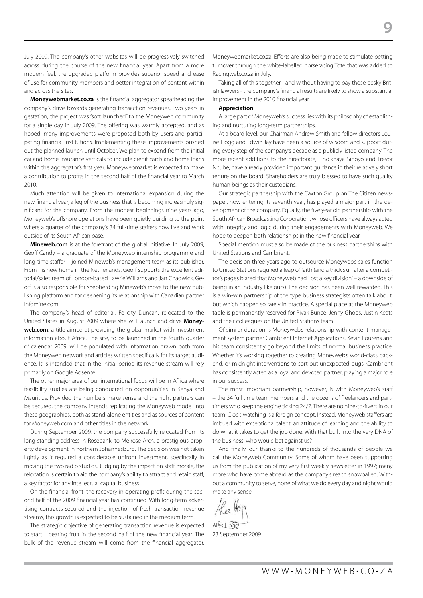July 2009. The company's other websites will be progressively switched across during the course of the new financial year. Apart from a more modern feel, the upgraded platform provides superior speed and ease of use for community members and better integration of content within and across the sites.

**Moneywebmarket.co.za** is the financial aggregator spearheading the company's drive towards generating transaction revenues. Two years in gestation, the project was "soft launched" to the Moneyweb community for a single day in July 2009. The offering was warmly accepted, and as hoped, many improvements were proposed both by users and participating financial institutions. Implementing these improvements pushed out the planned launch until October. We plan to expand from the initial car and home insurance verticals to include credit cards and home loans within the aggregator's first year. Moneywebmarket is expected to make a contribution to profits in the second half of the financial year to March 2010.

Much attention will be given to international expansion during the new financial year, a leg of the business that is becoming increasingly significant for the company. From the modest beginnings nine years ago, Moneyweb's offshore operations have been quietly building to the point where a quarter of the company's 34 full-time staffers now live and work outside of its South African base.

**Mineweb.com** is at the forefront of the global initiative. In July 2009, Geoff Candy – a graduate of the Moneyweb internship programme and long-time staffer – joined Mineweb's management team as its publisher. From his new home in the Netherlands, Geoff supports the excellent editorial/sales team of London-based Lawrie Williams and Jan Chadwick. Geoff is also responsible for shepherding Mineweb's move to the new publishing platform and for deepening its relationship with Canadian partner Infomine.com.

The company's head of editorial, Felicity Duncan, relocated to the United States in August 2009 where she will launch and drive **Money**web.com, a title aimed at providing the global market with investment information about Africa. The site, to be launched in the fourth quarter of calendar 2009, will be populated with information drawn both from the Moneyweb network and articles written specifically for its target audience. It is intended that in the initial period its revenue stream will rely primarily on Google Adsense.

The other major area of our international focus will be in Africa where feasibility studies are being conducted on opportunities in Kenya and Mauritius. Provided the numbers make sense and the right partners can be secured, the company intends replicating the Moneyweb model into these geographies, both as stand-alone entities and as sources of content for Moneyweb.com and other titles in the network.

During September 2009, the company successfully relocated from its long-standing address in Rosebank, to Melrose Arch, a prestigious property development in northern Johannesburg. The decision was not taken lightly as it required a considerable upfront investment, specifically in moving the two radio studios. Judging by the impact on staff morale, the relocation is certain to aid the company's ability to attract and retain staff, a key factor for any intellectual capital business.

On the financial front, the recovery in operating profit during the second half of the 2009 financial year has continued. With long-term advertising contracts secured and the injection of fresh transaction revenue streams, this growth is expected to be sustained in the medium term.

The strategic objective of generating transaction revenue is expected to start bearing fruit in the second half of the new financial year. The bulk of the revenue stream will come from the financial aggregator,

Moneywebmarket.co.za. Efforts are also being made to stimulate betting turnover through the white-labelled horseracing Tote that was added to Racingweb.co.za in July.

 $\Box$ 

Taking all of this together - and without having to pay those pesky British lawyers - the company's financial results are likely to show a substantial improvement in the 2010 financial year.

#### **Appreciation**

A large part of Moneyweb's success lies with its philosophy of establishing and nurturing long-term partnerships.

At a board level, our Chairman Andrew Smith and fellow directors Louise Hogg and Edwin Jay have been a source of wisdom and support during every step of the company's decade as a publicly listed company. The more recent additions to the directorate, Lindikhaya Sipoyo and Trevor Ncube, have already provided important guidance in their relatively short tenure on the board. Shareholders are truly blessed to have such quality human beings as their custodians.

Our strategic partnership with the Caxton Group on The Citizen newspaper, now entering its seventh year, has played a major part in the development of the company. Equally, the five year old partnership with the South African Broadcasting Corporation, whose officers have always acted with integrity and logic during their engagements with Moneyweb. We hope to deepen both relationships in the new financial year.

Special mention must also be made of the business partnerships with United Stations and Cambrient.

The decision three years ago to outsource Moneyweb's sales function to United Stations required a leap of faith (and a thick skin after a competitor's pages blared that Moneyweb had "lost a key division" – a downside of being in an industry like ours). The decision has been well rewarded. This is a win-win partnership of the type business strategists often talk about, but which happen so rarely in practice. A special place at the Moneyweb table is permanently reserved for Rivak Bunce, Jenny Ghoos, Justin Keats and their colleagues on the United Stations team.

Of similar duration is Moneyweb's relationship with content management system partner Cambrient Internet Applications. Kevin Lourens and his team consistently go beyond the limits of normal business practice. Whether it's working together to creating Moneyweb's world-class backend, or midnight interventions to sort out unexpected bugs, Cambrient has consistently acted as a loyal and devoted partner, playing a major role in our success.

The most important partnership, however, is with Moneyweb's staff – the 34 full time team members and the dozens of freelancers and parttimers who keep the engine ticking 24/7. There are no nine-to-fivers in our team. Clock-watching is a foreign concept. Instead, Moneyweb staffers are imbued with exceptional talent, an attitude of learning and the ability to do what it takes to get the job done. With that built into the very DNA of the business, who would bet against us?

And finally, our thanks to the hundreds of thousands of people we call the Moneyweb Community. Some of whom have been supporting us from the publication of my very first weekly newsletter in 1997; many more who have come aboard as the company's reach snowballed. Without a community to serve, none of what we do every day and night would make any sense.

**Alec** Hogg

23 September 2009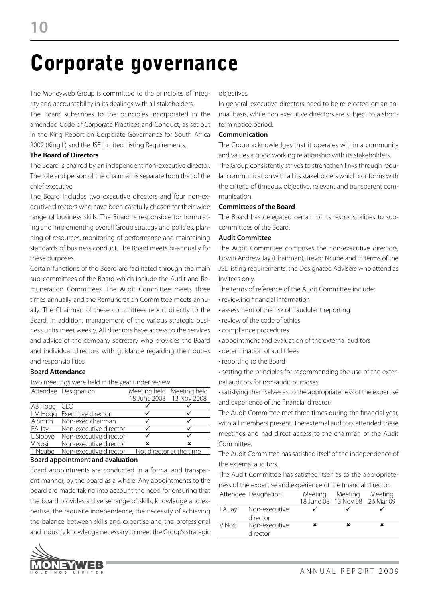## Corporate governance

The Moneyweb Group is committed to the principles of integrity and accountability in its dealings with all stakeholders.

The Board subscribes to the principles incorporated in the amended Code of Corporate Practices and Conduct, as set out in the King Report on Corporate Governance for South Africa 2002 (King II) and the JSE Limited Listing Requirements.

#### **The Board of Directors**

The Board is chaired by an independent non-executive director. The role and person of the chairman is separate from that of the chief executive.

The Board includes two executive directors and four non-executive directors who have been carefully chosen for their wide range of business skills. The Board is responsible for formulating and implementing overall Group strategy and policies, planning of resources, monitoring of performance and maintaining standards of business conduct. The Board meets bi-annually for these purposes.

Certain functions of the Board are facilitated through the main sub-committees of the Board which include the Audit and Remuneration Committees. The Audit Committee meets three times annually and the Remuneration Committee meets annually. The Chairmen of these committees report directly to the Board. In addition, management of the various strategic business units meet weekly. All directors have access to the services and advice of the company secretary who provides the Board and individual directors with guidance regarding their duties and responsibilities.

#### **Board Attendance**

Two meetings were held in the year under review

|          | Attendee Designation   |   | Meeting held Meeting held |
|----------|------------------------|---|---------------------------|
|          |                        |   | 18 June 2008 13 Nov 2008  |
| AB Hogg  | CFO                    |   |                           |
| LM Hogg  | Executive director     |   |                           |
| A Smith  | Non-exec chairman      |   |                           |
| EA Jay   | Non-executive director |   |                           |
| L Sipoyo | Non-executive director |   |                           |
| V Nosi   | Non-executive director | × | ×                         |
| T Ncube  | Non-executive director |   | Not director at the time  |
|          |                        |   |                           |

#### **Board appointment and evaluation**

Board appointments are conducted in a formal and transparent manner, by the board as a whole. Any appointments to the board are made taking into account the need for ensuring that the board provides a diverse range of skills, knowledge and expertise, the requisite independence, the necessity of achieving the balance between skills and expertise and the professional and industry knowledge necessary to meet the Group's strategic



objectives.

In general, executive directors need to be re-elected on an annual basis, while non executive directors are subject to a shortterm notice period.

#### **Communication**

The Group acknowledges that it operates within a community and values a good working relationship with its stakeholders. The Group consistently strives to strengthen links through regular communication with all its stakeholders which conforms with the criteria of timeous, objective, relevant and transparent communication.

#### **Committees of the Board**

The Board has delegated certain of its responsibilities to subcommittees of the Board.

### **Audit Committee**

The Audit Committee comprises the non-executive directors, Edwin Andrew Jay (Chairman), Trevor Ncube and in terms of the JSE listing requirements, the Designated Advisers who attend as invitees only.

The terms of reference of the Audit Committee include:

- reviewing financial information
- assessment of the risk of fraudulent reporting
- review of the code of ethics
- compliance procedures
- appointment and evaluation of the external auditors
- determination of audit fees
- reporting to the Board
- setting the principles for recommending the use of the external auditors for non-audit purposes

• satisfying themselves as to the appropriateness of the expertise and experience of the financial director.

The Audit Committee met three times during the financial year, with all members present. The external auditors attended these meetings and had direct access to the chairman of the Audit Committee.

The Audit Committee has satisfied itself of the independence of the external auditors.

The Audit Committee has satisfied itself as to the appropriateness of the expertise and experience of the financial director.

|        | Attendee Designation      | Meeting | Meeting<br>18 June 08 13 Nov 08 26 Mar 09 | Meeting |
|--------|---------------------------|---------|-------------------------------------------|---------|
| EA Jay | Non-executive<br>director |         |                                           |         |
| V Nosi | Non-executive<br>director | ×       |                                           | ×       |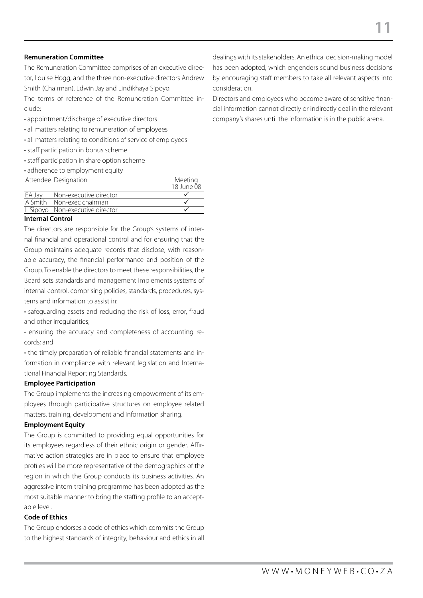#### **Remuneration Committee**

The Remuneration Committee comprises of an executive director, Louise Hogg, and the three non-executive directors Andrew Smith (Chairman), Edwin Jay and Lindikhaya Sipoyo.

The terms of reference of the Remuneration Committee include:

- appointment/discharge of executive directors
- all matters relating to remuneration of employees
- all matters relating to conditions of service of employees
- staff participation in bonus scheme
- staff participation in share option scheme
- adherence to employment equity

|        | Attendee Designation            | Meeting    |
|--------|---------------------------------|------------|
|        |                                 | 18 June 08 |
| EA Jay | Non-executive director          |            |
|        | A Smith Non-exec chairman       |            |
|        | L Sipoyo Non-executive director |            |
|        |                                 |            |

#### **Internal Control**

The directors are responsible for the Group's systems of internal financial and operational control and for ensuring that the Group maintains adequate records that disclose, with reasonable accuracy, the financial performance and position of the Group. To enable the directors to meet these responsibilities, the Board sets standards and management implements systems of internal control, comprising policies, standards, procedures, systems and information to assist in:

• safeguarding assets and reducing the risk of loss, error, fraud and other irregularities;

• ensuring the accuracy and completeness of accounting records; and

• the timely preparation of reliable financial statements and information in compliance with relevant legislation and International Financial Reporting Standards.

#### **Employee Participation**

The Group implements the increasing empowerment of its employees through participative structures on employee related matters, training, development and information sharing.

#### **Employment Equity**

The Group is committed to providing equal opportunities for its employees regardless of their ethnic origin or gender. Affirmative action strategies are in place to ensure that employee profiles will be more representative of the demographics of the region in which the Group conducts its business activities. An aggressive intern training programme has been adopted as the most suitable manner to bring the staffing profile to an acceptable level.

### **Code of Ethics**

The Group endorses a code of ethics which commits the Group to the highest standards of integrity, behaviour and ethics in all dealings with its stakeholders. An ethical decision-making model has been adopted, which engenders sound business decisions by encouraging staff members to take all relevant aspects into consideration.

Directors and employees who become aware of sensitive financial information cannot directly or indirectly deal in the relevant company's shares until the information is in the public arena.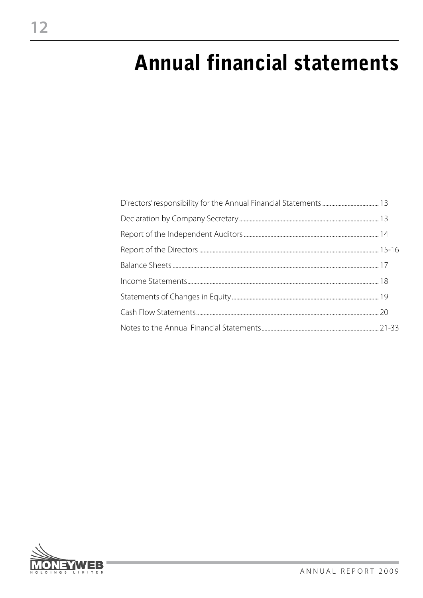## **Annual financial statements**

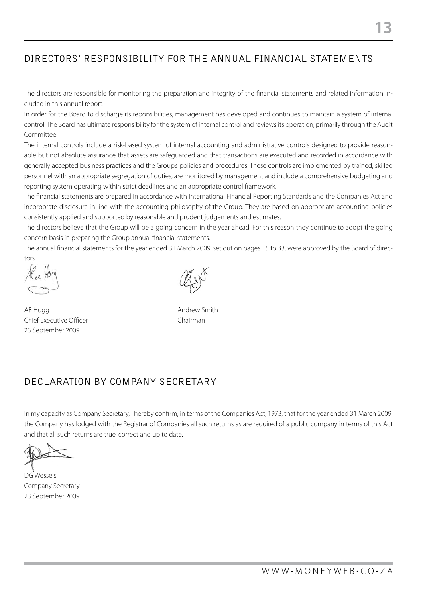## DIRECTORS' RESPONSIBILITY FOR THE ANNUAL FINANCIAL STATEMENTS

The directors are responsible for monitoring the preparation and integrity of the financial statements and related information included in this annual report.

In order for the Board to discharge its reponsibilities, management has developed and continues to maintain a system of internal control. The Board has ultimate responsibility for the system of internal control and reviews its operation, primarily through the Audit Committee.

The internal controls include a risk-based system of internal accounting and administrative controls designed to provide reasonable but not absolute assurance that assets are safeguarded and that transactions are executed and recorded in accordance with generally accepted business practices and the Group's policies and procedures. These controls are implemented by trained, skilled personnel with an appropriate segregation of duties, are monitored by management and include a comprehensive budgeting and reporting system operating within strict deadlines and an appropriate control framework.

The financial statements are prepared in accordance with International Financial Reporting Standards and the Companies Act and incorporate disclosure in line with the accounting philosophy of the Group. They are based on appropriate accounting policies consistently applied and supported by reasonable and prudent judgements and estimates.

The directors believe that the Group will be a going concern in the year ahead. For this reason they continue to adopt the going concern basis in preparing the Group annual financial statements.

The annual financial statements for the year ended 31 March 2009, set out on pages 15 to 33, were approved by the Board of directors.

AB Hogg Andrew Smith Chief Executive Officer **Chairman** 23 September 2009

### DECLARATION BY COMPANY SECRETARY

In my capacity as Company Secretary, I hereby confirm, in terms of the Companies Act, 1973, that for the year ended 31 March 2009, the Company has lodged with the Registrar of Companies all such returns as are required of a public company in terms of this Act and that all such returns are true, correct and up to date.

DG Wessels Company Secretary 23 September 2009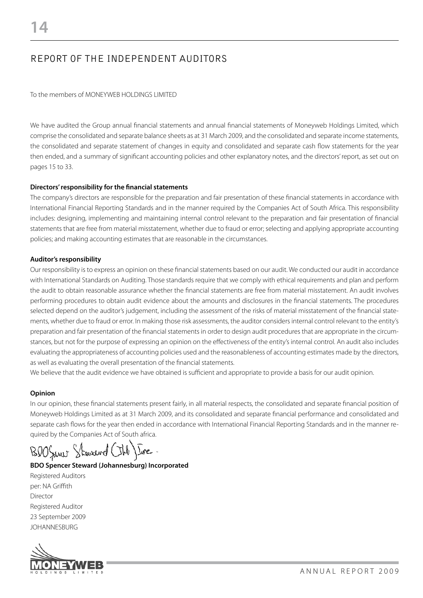## REPORT OF THE INDEPENDENT AUDITORS

To the members of MONEYWEB HOLDINGS LIMITED

We have audited the Group annual financial statements and annual financial statements of Moneyweb Holdings Limited, which comprise the consolidated and separate balance sheets as at 31 March 2009, and the consolidated and separate income statements, the consolidated and separate statement of changes in equity and consolidated and separate cash flow statements for the year then ended, and a summary of significant accounting policies and other explanatory notes, and the directors' report, as set out on pages 15 to 33.

### **Directors' responsibility for the financial statements**

The company's directors are responsible for the preparation and fair presentation of these financial statements in accordance with International Financial Reporting Standards and in the manner required by the Companies Act of South Africa. This responsibility includes: designing, implementing and maintaining internal control relevant to the preparation and fair presentation of financial statements that are free from material misstatement, whether due to fraud or error; selecting and applying appropriate accounting policies; and making accounting estimates that are reasonable in the circumstances.

### **Auditor's responsibility**

Our responsibility is to express an opinion on these financial statements based on our audit. We conducted our audit in accordance with International Standards on Auditing. Those standards require that we comply with ethical requirements and plan and perform the audit to obtain reasonable assurance whether the financial statements are free from material misstatement. An audit involves performing procedures to obtain audit evidence about the amounts and disclosures in the financial statements. The procedures selected depend on the auditor's judgement, including the assessment of the risks of material misstatement of the financial statements, whether due to fraud or error. In making those risk assessments, the auditor considers internal control relevant to the entity's preparation and fair presentation of the financial statements in order to design audit procedures that are appropriate in the circumstances, but not for the purpose of expressing an opinion on the effectiveness of the entity's internal control. An audit also includes evaluating the appropriateness of accounting policies used and the reasonableness of accounting estimates made by the directors, as well as evaluating the overall presentation of the financial statements.

We believe that the audit evidence we have obtained is sufficient and appropriate to provide a basis for our audit opinion.

#### **Opinion**

In our opinion, these financial statements present fairly, in all material respects, the consolidated and separate financial position of Moneyweb Holdings Limited as at 31 March 2009, and its consolidated and separate financial performance and consolidated and separate cash flows for the year then ended in accordance with International Financial Reporting Standards and in the manner required by the Companies Act of South africa.

BOOSiner Steward

### **BDO Spencer Steward (Johannesburg) Incorporated**

Registered Auditors per: NA Griffith Director Registered Auditor 23 September 2009 JOHANNESBURG

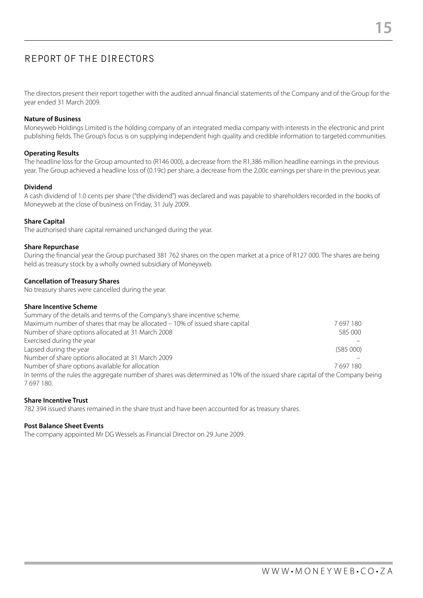## REPORT OF THE DIRECTORS

The directors present their report together with the audited annual financial statements of the Company and of the Group for the year ended 31 March 2009.

#### **Nature of Business**

Moneyweb Holdings Limited is the holding company of an integrated media company with interests in the electronic and print publishing fields. The Group's focus is on supplying independent high quality and credible information to targeted communities.

#### **Operating Results**

The headline loss for the Group amounted to (R146 000), a decrease from the R1,386 million headline earnings in the previous year. The Group achieved a headline loss of (0.19c) per share, a decrease from the 2,00c earnings per share in the previous year.

#### **Dividend**

A cash dividend of 1.0 cents per share ("the dividend") was declared and was payable to shareholders recorded in the books of Moneyweb at the close of business on Friday, 31 July 2009.

#### **Share Capital**

The authorised share capital remained unchanged during the year.

#### **Share Repurchase**

During the financial year the Group purchased 381 762 shares on the open market at a price of R127 000. The shares are being held as treasury stock by a wholly owned subsidiary of Moneyweb.

#### **Cancellation of Treasury Shares**

No treasury shares were cancelled during the year.

#### **Share Incentive Scheme**

| Summary of the details and terms of the Company's share incentive scheme.                                                   |          |
|-----------------------------------------------------------------------------------------------------------------------------|----------|
| Maximum number of shares that may be allocated - 10% of issued share capital                                                | 7697180  |
| Number of share options allocated at 31 March 2008                                                                          | 585 000  |
| Exercised during the year                                                                                                   |          |
| Lapsed during the year                                                                                                      | (585000) |
| Number of share options allocated at 31 March 2009                                                                          |          |
| Number of share options available for allocation                                                                            | 7697180  |
| In terms of the rules the aggregate number of shares was determined as 10% of the issued share capital of the Company being |          |
| 7697180.                                                                                                                    |          |

#### **Share Incentive Trust**

782 394 issued shares remained in the share trust and have been accounted for as treasury shares.

#### **Post Balance Sheet Events**

The company appointed Mr DG Wessels as Financial Director on 29 June 2009.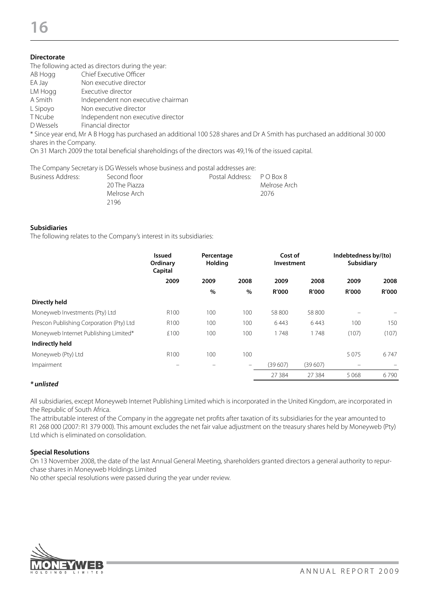### **Directorate**

The following acted as directors during the year:<br>AB Hogg Chief Executive Officer

- Chief Executive Officer
- EA Jay Non executive director
- LM Hogg Executive director A Smith Independent non executive chairman
- L Sipoyo Non executive director
- T Ncube Independent non executive director
- D Wessels Financial director

\* Since year end, Mr A B Hogg has purchased an additional 100 528 shares and Dr A Smith has purchased an additional 30 000 shares in the Company.

On 31 March 2009 the total beneficial shareholdings of the directors was 49,1% of the issued capital.

The Company Secretary is DG Wessels whose business and postal addresses are:

| Business Address: | Second floor  | Postal Address: P O Box 8 |              |
|-------------------|---------------|---------------------------|--------------|
|                   | 20 The Piazza |                           | Melrose Arch |
|                   | Melrose Arch  |                           | 2076         |
|                   | 2196          |                           |              |

#### **Subsidiaries**

The following relates to the Company's interest in its subsidiaries:

|                                          | <b>Issued</b><br>Ordinary<br>Capital | Percentage<br><b>Holding</b> |                   | Cost of<br>Investment |              | Indebtedness by/(to)<br><b>Subsidiary</b> |              |
|------------------------------------------|--------------------------------------|------------------------------|-------------------|-----------------------|--------------|-------------------------------------------|--------------|
|                                          | 2009                                 | 2009                         | 2008              | 2009                  | 2008         | 2009                                      | 2008         |
|                                          |                                      | $\%$                         | $\%$              | R'000                 | <b>R'000</b> | <b>R'000</b>                              | <b>R'000</b> |
| <b>Directly held</b>                     |                                      |                              |                   |                       |              |                                           |              |
| Moneyweb Investments (Pty) Ltd           | R <sub>100</sub>                     | 100                          | 100               | 58 800                | 58 800       | $\overline{\phantom{a}}$                  |              |
| Prescon Publishing Corporation (Pty) Ltd | R <sub>100</sub>                     | 100                          | 100               | 6443                  | 6443         | 100                                       | 150          |
| Moneyweb Internet Publishing Limited*    | £100                                 | 100                          | 100               | 1748                  | 1748         | (107)                                     | (107)        |
| Indirectly held                          |                                      |                              |                   |                       |              |                                           |              |
| Moneyweb (Pty) Ltd                       | R <sub>100</sub>                     | 100                          | 100               |                       |              | 5 0 7 5                                   | 6 747        |
| Impairment                               |                                      |                              | $\qquad \qquad -$ | (39607)               | (39607)      | $\overline{\phantom{0}}$                  |              |
|                                          |                                      |                              |                   | 27 384                | 27 384       | 5068                                      | 6790         |

#### *\* unlisted*

All subsidiaries, except Moneyweb Internet Publishing Limited which is incorporated in the United Kingdom, are incorporated in the Republic of South Africa.

The attributable interest of the Company in the aggregate net profits after taxation of its subsidiaries for the year amounted to R1 268 000 (2007: R1 379 000). This amount excludes the net fair value adjustment on the treasury shares held by Moneyweb (Pty) Ltd which is eliminated on consolidation.

#### **Special Resolutions**

On 13 November 2008, the date of the last Annual General Meeting, shareholders granted directors a general authority to repurchase shares in Moneyweb Holdings Limited

No other special resolutions were passed during the year under review.

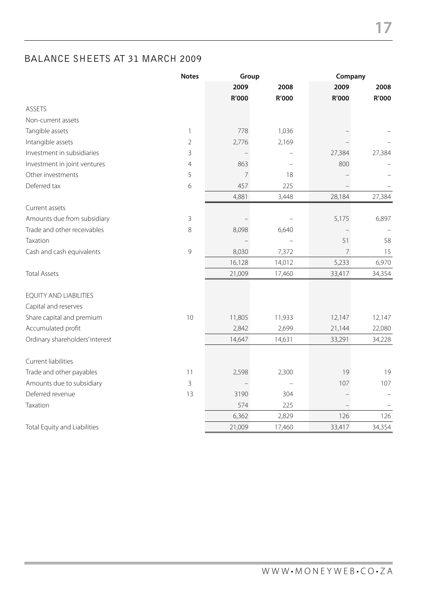### BALANCE SHEETS AT 31 MARCH 2009

|                                 | <b>Notes</b>   |                | Group  |                | Company |  |
|---------------------------------|----------------|----------------|--------|----------------|---------|--|
|                                 |                | 2009           | 2008   | 2009           | 2008    |  |
|                                 |                | R'000          | R'000  | R'000          | R'000   |  |
| ASSETS                          |                |                |        |                |         |  |
| Non-current assets              |                |                |        |                |         |  |
| Tangible assets                 | $\mathbf{1}$   | 778            | 1,036  |                |         |  |
| Intangible assets               | $\overline{2}$ | 2,776          | 2,169  |                |         |  |
| Investment in subsidiaries      | 3              |                |        | 27,384         | 27,384  |  |
| Investment in joint ventures    | $\overline{4}$ | 863            |        | 800            |         |  |
| Other investments               | 5              | $\overline{7}$ | 18     |                |         |  |
| Deferred tax                    | 6              | 457            | 225    |                |         |  |
|                                 |                | 4,881          | 3,448  | 28,184         | 27,384  |  |
| Current assets                  |                |                |        |                |         |  |
| Amounts due from subsidiary     | $\mathsf 3$    |                |        | 5,175          | 6,897   |  |
| Trade and other receivables     | 8              | 8,098          | 6,640  |                |         |  |
| Taxation                        |                |                |        | 51             | 58      |  |
| Cash and cash equivalents       | 9              | 8,030          | 7,372  | $\overline{7}$ | 15      |  |
|                                 |                | 16,128         | 14,012 | 5,233          | 6,970   |  |
| <b>Total Assets</b>             |                | 21,009         | 17,460 | 33,417         | 34,354  |  |
| <b>EQUITY AND LIABILITIES</b>   |                |                |        |                |         |  |
| Capital and reserves            |                |                |        |                |         |  |
| Share capital and premium       | 10             | 11,805         | 11,933 | 12,147         | 12,147  |  |
| Accumulated profit              |                | 2,842          | 2,699  | 21,144         | 22,080  |  |
| Ordinary shareholders' interest |                | 14,647         | 14,631 | 33,291         | 34,228  |  |
|                                 |                |                |        |                |         |  |
| Current liabilities             |                |                |        |                |         |  |
| Trade and other payables        | 11             | 2,598          | 2,300  | 19             | 19      |  |
| Amounts due to subsidiary       | 3              |                |        | 107            | 107     |  |
| Deferred revenue                | 13             | 3190           | 304    |                |         |  |
| Taxation                        |                | 574            | 225    |                |         |  |
|                                 |                | 6,362          | 2,829  | 126            | 126     |  |
| Total Equity and Liabilities    |                | 21,009         | 17,460 | 33,417         | 34,354  |  |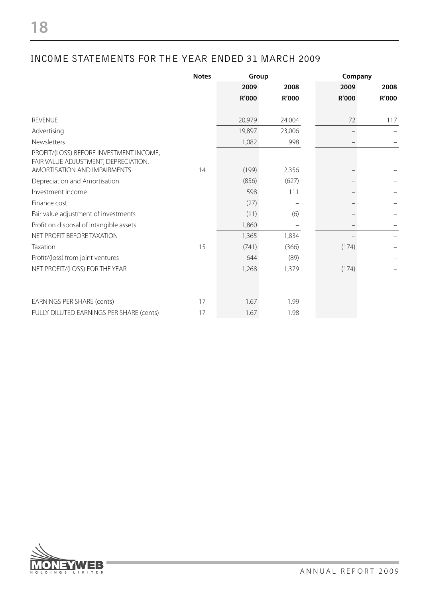### INCOME STATEMENTS FOR THE YEAR ENDED 31 MARCH 2009

|                                                                                                                 | <b>Notes</b> | Group  |        |       | Company |  |
|-----------------------------------------------------------------------------------------------------------------|--------------|--------|--------|-------|---------|--|
|                                                                                                                 |              | 2009   | 2008   | 2009  | 2008    |  |
|                                                                                                                 |              | R'000  | R'000  | R'000 | R'000   |  |
| <b>REVENUE</b>                                                                                                  |              | 20,979 | 24,004 | 72    | 117     |  |
| Advertising                                                                                                     |              | 19,897 | 23,006 |       |         |  |
| Newsletters                                                                                                     |              | 1,082  | 998    |       |         |  |
| PROFIT/(LOSS) BEFORE INVESTMENT INCOME,<br>FAIR VALUE ADJUSTMENT, DEPRECIATION,<br>AMORTISATION AND IMPAIRMENTS | 14           | (199)  | 2,356  |       |         |  |
| Depreciation and Amortisation                                                                                   |              | (856)  | (627)  |       |         |  |
| Investment income                                                                                               |              | 598    | 111    |       |         |  |
| Finance cost                                                                                                    |              | (27)   |        |       |         |  |
| Fair value adjustment of investments                                                                            |              | (11)   | (6)    |       |         |  |
| Profit on disposal of intangible assets                                                                         |              | 1,860  |        |       |         |  |
| NET PROFIT BEFORE TAXATION                                                                                      |              | 1,365  | 1,834  |       |         |  |
| Taxation                                                                                                        | 15           | (741)  | (366)  | (174) |         |  |
| Profit/(loss) from joint ventures                                                                               |              | 644    | (89)   |       |         |  |
| NET PROFIT/(LOSS) FOR THE YEAR                                                                                  |              | 1,268  | 1,379  | (174) |         |  |
|                                                                                                                 |              |        |        |       |         |  |
| <b>EARNINGS PER SHARE (cents)</b>                                                                               | 17           | 1.67   | 1.99   |       |         |  |
| FULLY DILUTED EARNINGS PER SHARE (cents)                                                                        | 17           | 1.67   | 1.98   |       |         |  |

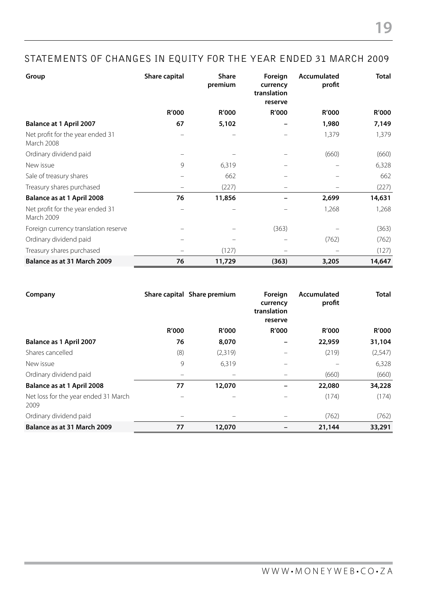| Group                                          | Share capital | <b>Share</b><br>premium | Foreign<br>currency<br>translation<br>reserve | Accumulated<br>profit | <b>Total</b> |
|------------------------------------------------|---------------|-------------------------|-----------------------------------------------|-----------------------|--------------|
|                                                | R'000         | R'000                   | <b>R'000</b>                                  | <b>R'000</b>          | <b>R'000</b> |
| <b>Balance at 1 April 2007</b>                 | 67            | 5,102                   |                                               | 1,980                 | 7,149        |
| Net profit for the year ended 31<br>March 2008 |               |                         |                                               | 1,379                 | 1,379        |
| Ordinary dividend paid                         |               |                         |                                               | (660)                 | (660)        |
| New issue                                      | 9             | 6,319                   |                                               |                       | 6,328        |
| Sale of treasury shares                        |               | 662                     |                                               |                       | 662          |
| Treasury shares purchased                      |               | (227)                   |                                               |                       | (227)        |
| Balance as at 1 April 2008                     | 76            | 11,856                  |                                               | 2,699                 | 14,631       |
| Net profit for the year ended 31<br>March 2009 |               |                         |                                               | 1,268                 | 1,268        |
| Foreign currency translation reserve           |               |                         | (363)                                         |                       | (363)        |
| Ordinary dividend paid                         |               |                         |                                               | (762)                 | (762)        |
| Treasury shares purchased                      |               | (127)                   |                                               |                       | (127)        |
| Balance as at 31 March 2009                    | 76            | 11,729                  | (363)                                         | 3,205                 | 14,647       |

| Company                                      |              | Share capital Share premium | Foreign<br>currency<br>translation<br>reserve | Accumulated<br>profit | <b>Total</b> |
|----------------------------------------------|--------------|-----------------------------|-----------------------------------------------|-----------------------|--------------|
|                                              | <b>R'000</b> | <b>R'000</b>                | <b>R'000</b>                                  | <b>R'000</b>          | <b>R'000</b> |
| Balance as 1 April 2007                      | 76           | 8,070                       |                                               | 22,959                | 31,104       |
| Shares cancelled                             | (8)          | (2,319)                     |                                               | (219)                 | (2, 547)     |
| New issue                                    | 9            | 6,319                       |                                               |                       | 6,328        |
| Ordinary dividend paid                       |              | $\qquad \qquad$             |                                               | (660)                 | (660)        |
| Balance as at 1 April 2008                   | 77           | 12,070                      |                                               | 22,080                | 34,228       |
| Net loss for the year ended 31 March<br>2009 |              | $\overline{\phantom{m}}$    |                                               | (174)                 | (174)        |
| Ordinary dividend paid                       |              |                             |                                               | (762)                 | (762)        |
| Balance as at 31 March 2009                  | 77           | 12,070                      |                                               | 21,144                | 33,291       |

**19**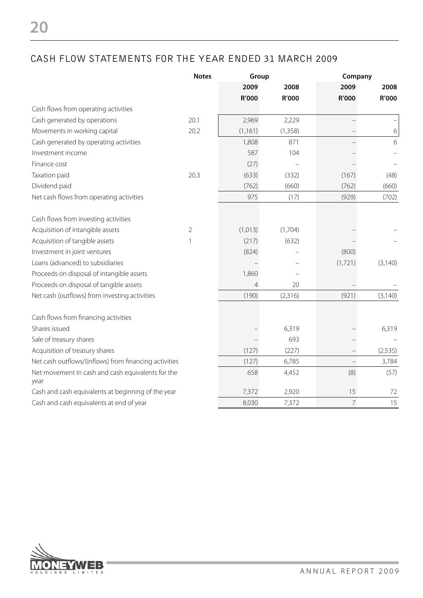### CASH FLOW STATEMENTS FOR THE YEAR ENDED 31 MARCH 2009

|                                                       | <b>Notes</b> | Group          |          |                | Company  |  |
|-------------------------------------------------------|--------------|----------------|----------|----------------|----------|--|
|                                                       |              | 2009           | 2008     | 2009           | 2008     |  |
|                                                       |              | <b>R'000</b>   | R'000    | R'000          | R'000    |  |
| Cash flows from operating activities                  |              |                |          |                |          |  |
| Cash generated by operations                          | 20.1         | 2,969          | 2,229    |                |          |  |
| Movements in working capital                          | 20.2         | (1, 161)       | (1, 358) |                | 6        |  |
| Cash generated by operating activities                |              | 1,808          | 871      |                | 6        |  |
| Investment income                                     |              | 587            | 104      |                |          |  |
| Finance cost                                          |              | (27)           |          |                |          |  |
| Taxation paid                                         | 20.3         | (633)          | (332)    | (167)          | (48)     |  |
| Dividend paid                                         |              | (762)          | (660)    | (762)          | (660)    |  |
| Net cash flows from operating activities              |              | 975            | (17)     | (929)          | (702)    |  |
|                                                       |              |                |          |                |          |  |
| Cash flows from investing activities                  |              |                |          |                |          |  |
| Acquisition of intangible assets                      | 2            | (1,013)        | (1,704)  |                |          |  |
| Acquisition of tangible assets                        | $\mathbf{1}$ | (217)          | (632)    |                |          |  |
| Investment in joint ventures                          |              | (824)          |          | (800)          |          |  |
| Loans (advanced) to subsidiaries                      |              |                |          | (1,721)        | (3, 140) |  |
| Proceeds on disposal of intangible assets             |              | 1,860          |          |                |          |  |
| Proceeds on disposal of tangible assets               |              | $\overline{4}$ | 20       |                |          |  |
| Net cash (outflows) from investing activities         |              | (190)          | (2,316)  | (921)          | (3, 140) |  |
| Cash flows from financing activities                  |              |                |          |                |          |  |
| Shares issued                                         |              |                | 6,319    |                | 6,319    |  |
| Sale of treasury shares                               |              |                | 693      |                |          |  |
| Acquisition of treasury shares                        |              | (127)          | (227)    |                | (2, 535) |  |
| Net cash outflows/(inflows) from financing activities |              | (127)          | 6,785    | $\bar{ }$      | 3,784    |  |
| Net movement in cash and cash equivalents for the     |              | 658            | 4,452    | (8)            | (57)     |  |
| year                                                  |              |                |          |                |          |  |
| Cash and cash equivalents at beginning of the year    |              | 7,372          | 2,920    | 15             | 72       |  |
| Cash and cash equivalents at end of year              |              | 8,030          | 7,372    | $\overline{7}$ | 15       |  |

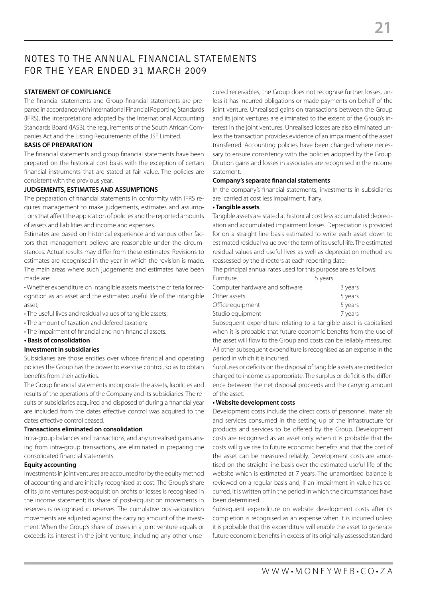## NOTES TO THE ANNUAL FINANCIAL STATEMENTS FOR THE YEAR ENDED 31 MARCH 2009

### **Statement of compliance**

The financial statements and Group financial statements are prepared in accordance with International Financial Reporting Standards (IFRS), the interpretations adopted by the International Accounting Standards Board (IASB), the requirements of the South African Companies Act and the Listing Requirements of the JSE Limited.

#### **BASIS OF PREPARATION**

The financial statements and group financial statements have been prepared on the historical cost basis with the exception of certain financial instruments that are stated at fair value. The policies are consistent with the previous year.

#### **JUDGEMENTS, ESTIMATES AND ASSUMPTIONS**

The preparation of financial statements in conformity with IFRS requires management to make judgements, estimates and assumptions that affect the application of policies and the reported amounts of assets and liabilities and income and expenses.

Estimates are based on historical experience and various other factors that management believe are reasonable under the circumstances. Actual results may differ from these estimates. Revisions to estimates are recognised in the year in which the revision is made. The main areas where such judgements and estimates have been made are:

• Whether expenditure on intangible assets meets the criteria for recognition as an asset and the estimated useful life of the intangible asset;

- The useful lives and residual values of tangible assets;
- The amount of taxation and defered taxation;
- The impairment of financial and non-financial assets.
- **Basis of consolidation**

#### **Investment in subsidiaries**

Subsidiaries are those entities over whose financial and operating policies the Group has the power to exercise control, so as to obtain benefits from their activities.

The Group financial statements incorporate the assets, liabilities and results of the operations of the Company and its subsidiaries. The results of subsidiaries acquired and disposed of during a financial year are included from the dates effective control was acquired to the dates effective control ceased.

#### **Transactions eliminated on consolidation**

Intra-group balances and transactions, and any unrealised gains arising from intra-group transactions, are eliminated in preparing the consolidated financial statements.

#### **Equity accounting**

Investments in joint ventures are accounted for by the equity method of accounting and are initially recognised at cost. The Group's share of its joint ventures post-acquisition profits or losses is recognised in the income statement; its share of post-acquisition movements in reserves is recognised in reserves. The cumulative post-acquisition movements are adjusted against the carrying amount of the investment. When the Group's share of losses in a joint venture equals or exceeds its interest in the joint venture, including any other unse-

cured receivables, the Group does not recognise further losses, unless it has incurred obligations or made payments on behalf of the joint venture. Unrealised gains on transactions between the Group and its joint ventures are eliminated to the extent of the Group's interest in the joint ventures. Unrealised losses are also eliminated unless the transaction provides evidence of an impairment of the asset transferred. Accounting policies have been changed where necessary to ensure consistency with the policies adopted by the Group. Dilution gains and losses in associates are recognised in the income statement.

#### **Company's separate financial statements**

In the company's financial statements, investments in subsidiaries are carried at cost less impairment, if any.

#### **• Tangible assets**

Tangible assets are stated at historical cost less accumulated depreciation and accumulated impairment losses. Depreciation is provided for on a straight line basis estimated to write each asset down to estimated residual value over the term of its useful life. The estimated residual values and useful lives as well as depreciation method are reassessed by the directors at each reporting date.

The principal annual rates used for this purpose are as follows:

| Furniture                      | 5 years |         |
|--------------------------------|---------|---------|
| Computer hardware and software |         | 3 years |
| Other assets                   |         | 5 years |
| Office equipment               |         | 5 years |
| Studio equipment               |         | 7 years |
|                                |         |         |

Subsequent expenditure relating to a tangible asset is capitalised when it is probable that future economic benefits from the use of the asset will flow to the Group and costs can be reliably measured. All other subsequent expenditure is recognised as an expense in the period in which it is incurred.

Surpluses or deficits on the disposal of tangible assets are credited or charged to income as appropriate. The surplus or deficit is the difference between the net disposal proceeds and the carrying amount of the asset.

#### **• Website development costs**

Development costs include the direct costs of personnel, materials and services consumed in the setting up of the infrastructure for products and services to be offered by the Group. Development costs are recognised as an asset only when it is probable that the costs will give rise to future economic benefits and that the cost of the asset can be measured reliably. Development costs are amortised on the straight line basis over the estimated useful life of the website which is estimated at 7 years. The unamortised balance is reviewed on a regular basis and, if an impairment in value has occurred, it is written off in the period in which the circumstances have been determined.

Subsequent expenditure on website development costs after its completion is recognised as an expense when it is incurred unless it is probable that this expenditure will enable the asset to generate future economic benefits in excess of its originally assessed standard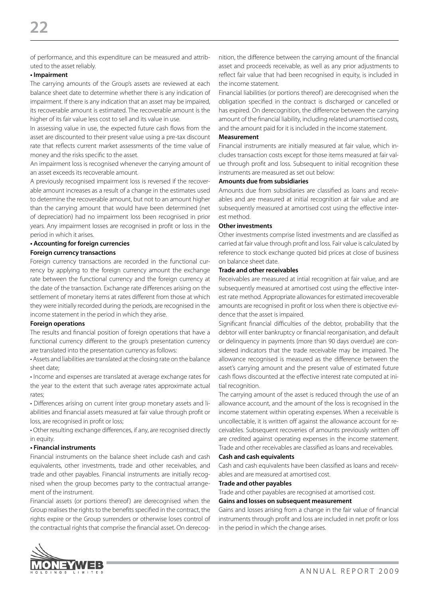of performance, and this expenditure can be measured and attributed to the asset reliably.

#### **• Impairment**

The carrying amounts of the Group's assets are reviewed at each balance sheet date to determine whether there is any indication of impairment. If there is any indication that an asset may be impaired, its recoverable amount is estimated. The recoverable amount is the higher of its fair value less cost to sell and its value in use.

In assessing value in use, the expected future cash flows from the asset are discounted to their present value using a pre-tax discount rate that reflects current market assessments of the time value of money and the risks specific to the asset.

An impairment loss is recognised whenever the carrying amount of an asset exceeds its recoverable amount.

A previously recognised impairment loss is reversed if the recoverable amount increases as a result of a change in the estimates used to determine the recoverable amount, but not to an amount higher than the carrying amount that would have been determined (net of depreciation) had no impairment loss been recognised in prior years. Any impairment losses are recognised in profit or loss in the period in which it arises.

#### **• Accounting for foreign currencies**

#### **Foreign currency transactions**

Foreign currency transactions are recorded in the functional currency by applying to the foreign currency amount the exchange rate between the functional currency and the foreign currency at the date of the transaction. Exchange rate differences arising on the settlement of monetary items at rates different from those at which they were initially recorded during the periods, are recognised in the income statement in the period in which they arise.

#### **Foreign operations**

The results and financial position of foreign operations that have a functional currency different to the group's presentation currency are translated into the presentation currency as follows:

• Assets and liabilities are translated at the closing rate on the balance sheet date;

• Income and expenses are translated at average exchange rates for the year to the extent that such average rates approximate actual rates;

• Differences arising on current inter group monetary assets and liabilities and financial assets measured at fair value through profit or loss, are recognised in profit or loss;

• Other resulting exchange differences, if any, are recognised directly in equity.

#### **• Financial instruments**

Financial instruments on the balance sheet include cash and cash equivalents, other investments, trade and other receivables, and trade and other payables. Financial instruments are initially recognised when the group becomes party to the contractual arrangement of the instrument.

Financial assets (or portions thereof) are derecognised when the Group realises the rights to the benefits specified in the contract, the rights expire or the Group surrenders or otherwise loses control of the contractual rights that comprise the financial asset. On derecognition, the difference between the carrying amount of the financial asset and proceeds receivable, as well as any prior adjustments to reflect fair value that had been recognised in equity, is included in the income statement.

Financial liabilities (or portions thereof) are derecognised when the obligation specified in the contract is discharged or cancelled or has expired. On derecognition, the difference between the carrying amount of the financial liability, including related unamortised costs, and the amount paid for it is included in the income statement.

#### **Measurement**

Financial instruments are initially measured at fair value, which includes transaction costs except for those items measured at fair value through profit and loss. Subsequent to initial recognition these instruments are measured as set out below:

#### **Amounts due from subsidiaries**

Amounts due from subsidiaries are classified as loans and receivables and are measured at initial recognition at fair value and are subsequently measured at amortised cost using the effective interest method.

#### **Other investments**

Other investments comprise listed investments and are classified as carried at fair value through profit and loss. Fair value is calculated by reference to stock exchange quoted bid prices at close of business on balance sheet date.

#### **Trade and other receivables**

Receivables are measured at intial recognition at fair value, and are subsequently measured at amortised cost using the effective interest rate method. Appropriate allowances for estimated irrecoverable amounts are recognised in profit or loss when there is objective evidence that the asset is impaired.

Significant financial difficulties of the debtor, probability that the debtor will enter bankruptcy or financial reorganisation, and default or delinquency in payments (more than 90 days overdue) are considered indicators that the trade receivable may be impaired. The allowance recognised is measured as the difference between the asset's carrying amount and the present value of estimated future cash flows discounted at the effective interest rate computed at initial recognition.

The carrying amount of the asset is reduced through the use of an allowance account, and the amount of the loss is recognised in the income statement within operating expenses. When a receivable is uncollectable, it is written off against the allowance account for receivables. Subsequent recoveries of amounts previously written off are credited against operating expenses in the income statement. Trade and other receivables are classified as loans and receivables.

#### **Cash and cash equivalents**

Cash and cash equivalents have been classified as loans and receivables and are measured at amortised cost.

#### **Trade and other payables**

Trade and other payables are recognised at amortised cost.

#### **Gains and losses on subsequent measurement**

Gains and losses arising from a change in the fair value of financial instruments through profit and loss are included in net profit or loss in the period in which the change arises.

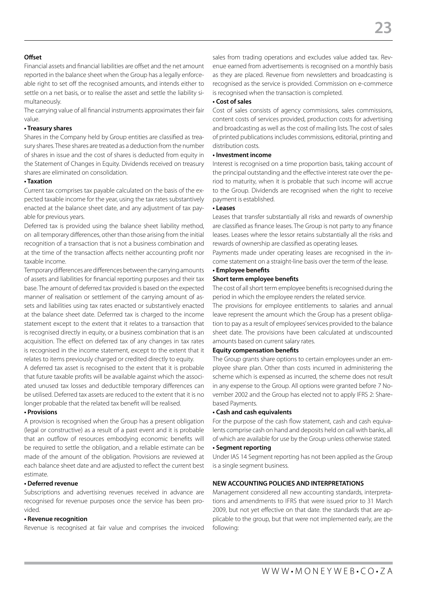#### **Offset**

Financial assets and financial liabilities are offset and the net amount reported in the balance sheet when the Group has a legally enforceable right to set off the recognised amounts, and intends either to settle on a net basis, or to realise the asset and settle the liability simultaneously.

The carrying value of all financial instruments approximates their fair value.

#### **• Treasury shares**

Shares in the Company held by Group entities are classified as treasury shares. These shares are treated as a deduction from the number of shares in issue and the cost of shares is deducted from equity in the Statement of Changes in Equity. Dividends received on treasury shares are eliminated on consolidation.

#### **• Taxation**

Current tax comprises tax payable calculated on the basis of the expected taxable income for the year, using the tax rates substantively enacted at the balance sheet date, and any adjustment of tax payable for previous years.

Deferred tax is provided using the balance sheet liability method, on all temporary differences, other than those arising from the initial recognition of a transaction that is not a business combination and at the time of the transaction affects neither accounting profit nor taxable income.

Temporary differences are differences between the carrying amounts of assets and liabilities for financial reporting purposes and their tax base. The amount of deferred tax provided is based on the expected manner of realisation or settlement of the carrying amount of assets and liabilities using tax rates enacted or substantively enacted at the balance sheet date. Deferrred tax is charged to the income statement except to the extent that it relates to a transaction that is recognised directly in equity, or a business combination that is an acquisition. The effect on deferred tax of any changes in tax rates is recognised in the income statement, except to the extent that it relates to items previously charged or credited directly to equity.

A deferred tax asset is recognised to the extent that it is probable that future taxable profits will be available against which the associated unused tax losses and deductible temporary differences can be utilised. Deferred tax assets are reduced to the extent that it is no longer probable that the related tax benefit will be realised.

#### **• Provisions**

A provision is recognised when the Group has a present obligation (legal or constructive) as a result of a past event and it is probable that an outflow of resources embodying economic benefits will be required to settle the obligation, and a reliable estimate can be made of the amount of the obligation. Provisions are reviewed at each balance sheet date and are adjusted to reflect the current best estimate.

#### **• Deferred revenue**

Subscriptions and advertising revenues received in advance are recognised for revenue purposes once the service has been provided.

#### **• Revenue recognition**

Revenue is recognised at fair value and comprises the invoiced

sales from trading operations and excludes value added tax. Revenue earned from advertisements is recognised on a monthly basis as they are placed. Revenue from newsletters and broadcasting is recognised as the service is provided. Commission on e-commerce is recognised when the transaction is completed.

#### **• Cost of sales**

Cost of sales consists of agency commissions, sales commissions, content costs of services provided, production costs for advertising and broadcasting as well as the cost of mailing lists. The cost of sales of printed publications includes commissions, editorial, printing and distribution costs.

#### **• Investment income**

Interest is recognised on a time proportion basis, taking account of the principal outstanding and the effective interest rate over the period to maturity, when it is probable that such income will accrue to the Group. Dividends are recognised when the right to receive payment is established.

#### **• Leases**

Leases that transfer substantially all risks and rewards of ownership are classified as finance leases. The Group is not party to any finance leases. Leases where the lessor retains substantially all the risks and rewards of ownership are classified as operating leases.

Payments made under operating leases are recognised in the income statement on a straight-line basis over the term of the lease.

#### **• Employee benefits**

#### **Short term employee benefits**

The cost of all short term employee benefits is recognised during the period in which the employee renders the related service.

The provisions for employee entitlements to salaries and annual leave represent the amount which the Group has a present obligation to pay as a result of employees' services provided to the balance sheet date. The provisions have been calculated at undiscounted amounts based on current salary rates.

#### **Equity compensation benefits**

The Group grants share options to certain employees under an employee share plan. Other than costs incurred in administering the scheme which is expensed as incurred, the scheme does not result in any expense to the Group. All options were granted before 7 November 2002 and the Group has elected not to apply IFRS 2: Sharebased Payments.

#### **• Cash and cash equivalents**

For the purpose of the cash flow statement, cash and cash equivalents comprise cash on hand and deposits held on call with banks, all of which are available for use by the Group unless otherwise stated. **• Segment reporting**

Under IAS 14 Segment reporting has not been applied as the Group is a single segment business.

#### **NEW ACCOUNTING POLICIES AND INTERPRETATIONS**

Management considered all new accounting standards, interpretations and amendments to IFRS that were issued prior to 31 March 2009, but not yet effective on that date. the standards that are applicable to the group, but that were not implemented early, are the following: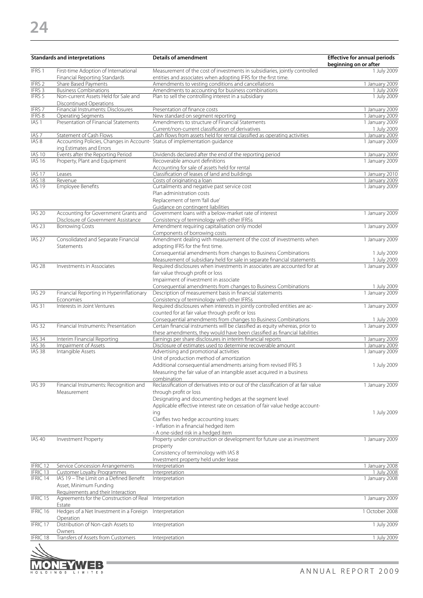|                                      | <b>Standards and interpretations</b>                                                                    | <b>Details of amendment</b>                                                                                                                                | <b>Effective for annual periods</b><br>beginning on or after |
|--------------------------------------|---------------------------------------------------------------------------------------------------------|------------------------------------------------------------------------------------------------------------------------------------------------------------|--------------------------------------------------------------|
| IFRS <sub>1</sub>                    | First-time Adoption of International<br>Financial Reporting Standards                                   | Measurement of the cost of investments in subsidiaries, jointly controlled<br>entities and associates when adopting IFRS for the first time.               | 1 July 2009                                                  |
| IFRS <sub>2</sub>                    | Share Based Payments                                                                                    | Amendments to vesting conditions and cancellations                                                                                                         | 1 January 2009                                               |
| IFRS 3                               | <b>Business Combinations</b>                                                                            | Amendments to accounting for business combinations                                                                                                         | 1 July 2009                                                  |
| IFRS 5                               | Non-current Assets Held for Sale and<br><b>Discontinued Operations</b>                                  | Plan to sell the controlling interest in a subsidiary                                                                                                      | 1 July 2009                                                  |
| <b>IFRS7</b>                         | Financial Instruments: Disclosures                                                                      | Presentation of finance costs                                                                                                                              | 1 January 2009                                               |
| IFRS 8                               | Operating Segments                                                                                      | New standard on segment reporting                                                                                                                          | 1 January 2009                                               |
| IAS <sub>1</sub>                     | Presentation of Financial Statements                                                                    | Amendments to structure of Financial Statements                                                                                                            | 1 January 2009                                               |
|                                      | Statement of Cash Flows                                                                                 | Current/non-current classification of derivatives                                                                                                          | 1 July 2009                                                  |
| IAS <sub>7</sub><br>IAS <sub>8</sub> | Accounting Policies, Changes in Account- Status of implementation guidance<br>ing Estimates and Errors  | Cash flows from assets held for rental classified as operating activities                                                                                  | 1 January 2009<br>1 January 2009                             |
| <b>IAS 10</b>                        | Events after the Reporting Period                                                                       | Dividends declared after the end of the reporting period                                                                                                   | 1 January 2009                                               |
| <b>IAS 16</b>                        | Property, Plant and Equipment                                                                           | Recoverable amount definitions<br>Accounting for sale of assets held for rental                                                                            | 1 January 2009                                               |
| IAS <sub>17</sub>                    | Leases                                                                                                  | Classification of leases of land and buildings                                                                                                             | 1 January 2010                                               |
| IAS 18                               | Revenue                                                                                                 | Costs of originating a loan                                                                                                                                | 1 January 2009                                               |
| <b>IAS 19</b>                        | <b>Employee Benefits</b>                                                                                | Curtailments and negative past service cost                                                                                                                | 1 January 2009                                               |
|                                      |                                                                                                         | Plan administration costs<br>Replacement of term 'fall due'                                                                                                |                                                              |
|                                      |                                                                                                         | Guidance on contingent liabilities                                                                                                                         |                                                              |
| <b>IAS 20</b>                        | Accounting for Government Grants and<br>Disclosure of Government Assistance                             | Government loans with a below-market rate of interest<br>Consistency of terminology with other IFRSs                                                       | 1 January 2009                                               |
| IAS <sub>23</sub>                    | <b>Borrowing Costs</b>                                                                                  | Amendment requiring capitalisation only model<br>Components of borrowing costs                                                                             | 1 January 2009                                               |
| IAS <sub>27</sub>                    | Consolidated and Separate Financial<br>Statements                                                       | Amendment dealing with measurement of the cost of investments when<br>adopting IFRS for the first time.                                                    | 1 January 2009                                               |
|                                      |                                                                                                         | Consequential amendments from changes to Business Combinations                                                                                             | 1 July 2009                                                  |
|                                      |                                                                                                         | Measurement of subsidiary held for sale in separate financial statements                                                                                   | 1 July 2009                                                  |
| <b>IAS 28</b>                        | Investments in Associates                                                                               | Required disclosures when investments in associates are accounted for at<br>fair value through profit or loss                                              | 1 January 2009                                               |
|                                      |                                                                                                         | Impairment of investment in associate                                                                                                                      |                                                              |
|                                      |                                                                                                         | Consequential amendments from changes to Business Combinations                                                                                             | 1 July 2009                                                  |
| <b>IAS 29</b>                        | Financial Reporting in Hyperinflationary<br>Economies                                                   | Description of measurement basis in financial statements<br>Consistency of terminology with other IFRSs                                                    | 1 January 2009                                               |
| IAS <sub>31</sub>                    | Interests in Joint Ventures                                                                             | Required disclosures when interests in jointly controlled entities are ac-<br>counted for at fair value through profit or loss                             | 1 January 2009                                               |
|                                      |                                                                                                         | Consequential amendments from changes to Business Combinations                                                                                             | 1 July 2009                                                  |
| <b>IAS 32</b>                        | Financial Instruments: Presentation                                                                     | Certain financial instruments will be classified as equity whereas, prior to<br>these amendments, they would have been classified as financial liabilities | 1 January 2009                                               |
| IAS 34                               | Interim Financial Reporting                                                                             | Earnings per share disclosures in interim financial reports                                                                                                | 1 January 2009                                               |
| <b>IAS 36</b>                        | Impairment of Assets                                                                                    | Disclosure of estimates used to determine recoverable amount                                                                                               | 1 January 2009                                               |
| <b>IAS 38</b>                        | Intangible Assets                                                                                       | Advertising and promotional activities<br>Unit of production method of amortization<br>Additional consequential amendments arising from revised IFRS 3     | 1 January 2009<br>1 July 2009                                |
|                                      |                                                                                                         | Measuring the fair value of an intangible asset acquired in a business<br>combination                                                                      |                                                              |
| <b>IAS 39</b>                        | Financial Instruments: Recognition and<br>Measurement                                                   | Reclassification of derivatives into or out of the classification of at fair value<br>through profit or loss                                               | 1 January 2009                                               |
|                                      |                                                                                                         | Designating and documenting hedges at the segment level                                                                                                    |                                                              |
|                                      |                                                                                                         | Applicable effective interest rate on cessation of fair value hedge account-                                                                               |                                                              |
|                                      |                                                                                                         | ing                                                                                                                                                        | 1 July 2009                                                  |
|                                      |                                                                                                         | Clarifies two hedge accounting issues:<br>- Inflation in a financial hedged item                                                                           |                                                              |
|                                      |                                                                                                         | - A one-sided risk in a hedged item                                                                                                                        |                                                              |
| <b>IAS 40</b>                        | <b>Investment Property</b>                                                                              | Property under construction or development for future use as investment<br>property                                                                        | 1 January 2009                                               |
|                                      |                                                                                                         | Consistency of terminology with IAS 8                                                                                                                      |                                                              |
|                                      |                                                                                                         | Investment property held under lease                                                                                                                       |                                                              |
| IFRIC 12                             | Service Concession Arrangements                                                                         | Interpretation                                                                                                                                             | 1 January 2008                                               |
| IFRIC 13<br>IFRIC 14                 | <b>Customer Loyalty Programmes</b><br>IAS 19 - The Limit on a Defined Benefit<br>Asset, Minimum Funding | Interpretation<br>Interpretation                                                                                                                           | 1 July 2008<br>1 January 2008                                |
| IFRIC 15                             | Requirements and their Interaction<br>Agreements for the Construction of Real                           | Interpretation                                                                                                                                             | 1 January 2009                                               |
| IFRIC 16                             | Estate<br>Hedges of a Net Investment in a Foreign                                                       | Interpretation                                                                                                                                             | 1 October 2008                                               |
| IFRIC 17                             | Operation<br>Distribution of Non-cash Assets to                                                         | Interpretation                                                                                                                                             | 1 July 2009                                                  |
| IFRIC 18                             | Owners<br>Transfers of Assets from Customers                                                            | Interpretation                                                                                                                                             | 1 July 2009                                                  |
| A                                    |                                                                                                         |                                                                                                                                                            |                                                              |

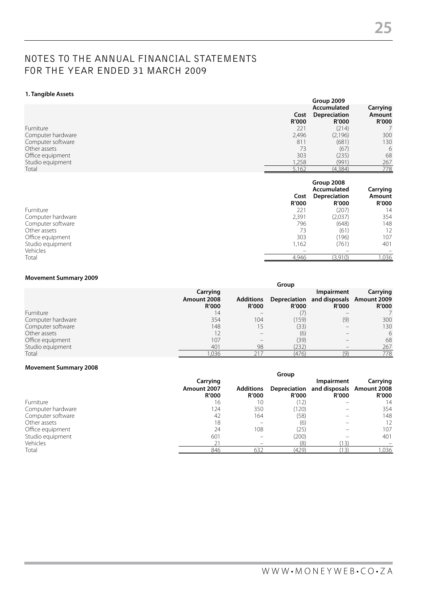## NOTES TO THE ANNUAL FINANCIAL STATEMENTS FOR THE YEAR ENDED 31 MARCH 2009

#### **1. Tangible Assets**

|                   |                      | Group 2009                                  |                                    |  |
|-------------------|----------------------|---------------------------------------------|------------------------------------|--|
|                   | Cost<br><b>R'000</b> | Accumulated<br>Depreciation<br><b>R'000</b> | Carrying<br>Amount<br><b>R'000</b> |  |
| Furniture         | 221                  | (214)                                       |                                    |  |
| Computer hardware | 2,496                | (2,196)                                     | 300                                |  |
| Computer software | 811                  | (681)                                       | 130                                |  |
| Other assets      | 73                   | (67)                                        | 6                                  |  |
| Office equipment  | 303                  | (235)                                       | 68                                 |  |
| Studio equipment  | ,258                 | (991)                                       | 267                                |  |
| Total             | 5,162                | (4,384)                                     | 778                                |  |

|                   | Cost<br><b>R'000</b>     | Group 2008<br>Accumulated<br>Depreciation<br><b>R'000</b> | Carrying<br>Amount<br><b>R'000</b> |
|-------------------|--------------------------|-----------------------------------------------------------|------------------------------------|
| Furniture         | 221                      | (207)                                                     | 14                                 |
| Computer hardware | 2,391                    | (2,037)                                                   | 354                                |
| Computer software | 796                      | (648)                                                     | 148                                |
| Other assets      | 73                       | (61)                                                      | 12                                 |
| Office equipment  | 303                      | (196)                                                     | 107                                |
| Studio equipment  | 1,162                    | (761)                                                     | 401                                |
| Vehicles          | $\overline{\phantom{a}}$ | -                                                         | $\overline{\phantom{a}}$           |
| Total             | 4.946                    | (3.910)                                                   | 1,036                              |

#### **Movement Summary 2009**

|                   |                                         |                                  | Group        |                                                                      |                          |
|-------------------|-----------------------------------------|----------------------------------|--------------|----------------------------------------------------------------------|--------------------------|
|                   | Carrying<br>Amount 2008<br><b>R'000</b> | <b>Additions</b><br><b>R'000</b> | <b>R'000</b> | Impairment<br>Depreciation and disposals Amount 2009<br><b>R'000</b> | Carrying<br><b>R'000</b> |
| Furniture         | 14                                      |                                  | (7           |                                                                      |                          |
| Computer hardware | 354                                     | 104                              | (159)        | (9)                                                                  | 300                      |
| Computer software | 148                                     | 15                               | (33)         |                                                                      | 130                      |
| Other assets      |                                         |                                  | (6)          |                                                                      | 6                        |
| Office equipment  | 107                                     | $\overline{\phantom{a}}$         | (39)         |                                                                      | 68                       |
| Studio equipment  | 401                                     | 98                               | (232)        |                                                                      | 267                      |
| Total             | .036                                    | 217                              | (476)        |                                                                      | 778                      |

#### **Movement Summary 2008**

|                   |              |                  | Group        |                                        |              |
|-------------------|--------------|------------------|--------------|----------------------------------------|--------------|
|                   | Carrying     |                  |              | Impairment                             | Carrying     |
|                   | Amount 2007  | <b>Additions</b> |              | Depreciation and disposals Amount 2008 |              |
|                   | <b>R'000</b> | <b>R'000</b>     | <b>R'000</b> | <b>R'000</b>                           | <b>R'000</b> |
| Furniture         | 16           | 10               | (12)         |                                        | 14           |
| Computer hardware | 124          | 350              | (120)        |                                        | 354          |
| Computer software | 42           | 164              | (58)         |                                        | 148          |
| Other assets      | 18           |                  | (6)          |                                        | 12           |
| Office equipment  | 24           | 108              | (25)         |                                        | 107          |
| Studio equipment  | 601          |                  | (200)        |                                        | 401          |
| Vehicles          | 21           |                  | (8)          | 13)                                    |              |
| Total             | 846          | 632              | (429)        |                                        | ,036         |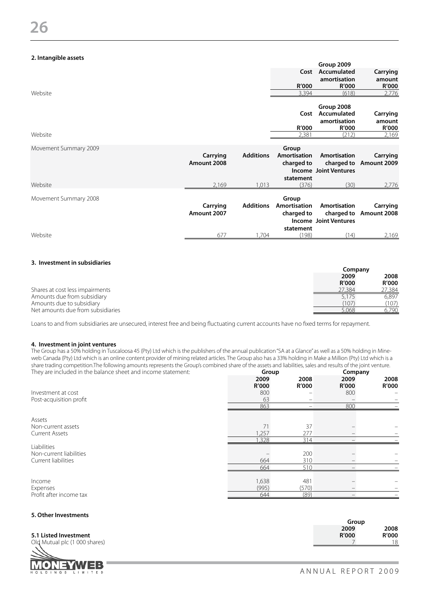#### **2. Intangible assets**

| Website               |                         |                  | Cost<br>R'000<br>3,394              | Group 2009<br>Accumulated<br>amortisation<br>R'000<br>(618) | Carrying<br>amount<br>R'000<br>2,776 |
|-----------------------|-------------------------|------------------|-------------------------------------|-------------------------------------------------------------|--------------------------------------|
|                       |                         |                  | Cost<br>R'000                       | Group 2008<br>Accumulated<br>amortisation<br>R'000          | Carrying<br>amount<br>R'000          |
| Website               |                         |                  | 2,381                               | (212)                                                       | 2,169                                |
| Movement Summary 2009 | Carrying<br>Amount 2008 | <b>Additions</b> | Group<br>Amortisation<br>charged to | Amortisation<br><b>Income Joint Ventures</b>                | Carrying<br>charged to Amount 2009   |
| Website               | 2,169                   | 1,013            | statement<br>(376)                  | (30)                                                        | 2,776                                |
|                       |                         |                  |                                     |                                                             |                                      |

| Movement Summary 2008 | Carrying<br>Amount 2007 | <b>Additions</b> | Group<br>Amortisation<br>charged to<br>statement | Amortisation<br>Income Joint Ventures | Carrying<br>charged to Amount 2008 |
|-----------------------|-------------------------|------------------|--------------------------------------------------|---------------------------------------|------------------------------------|
| Website               | 67                      | .704             | 198)                                             |                                       | 2.169                              |

#### **3. Investment in subsidiaries**

|                                   |                      | Company       |
|-----------------------------------|----------------------|---------------|
|                                   | 2009<br><b>R'000</b> | 2008<br>R'000 |
| Shares at cost less impairments   | <sup>2</sup> 7.384   | 27,384        |
| Amounts due from subsidiary       | 5.175                | 6.897         |
| Amounts due to subsidiary         | (107)                | (107)         |
| Net amounts due from subsidiaries | 5.068                | 6.790         |

Loans to and from subsidiaries are unsecured, interest free and being fluctuating current accounts have no fixed terms for repayment.

#### **4. Investment in joint ventures**

The Group has a 50% holding in Tuscaloosa 45 (Pty) Ltd which is the publishers of the annual publication "SA at a Glance" as well as a 50% holding in Mineweb Canada (Pty) Ltd which is an online content provider of mining related articles. The Group also has a 33% holding in Make a Million (Pty) Ltd which is a share trading competition.The following amounts represents the Group's combined share of the assets and liabilities, sales and results of the joint venture. They are included in the balance sheet and income statement: **Group Company**

|                         | 2009<br><b>R'000</b> | . .<br>2008<br><b>R'000</b> | 2009<br><b>R'000</b> | $\overline{\phantom{a}}$<br>2008<br><b>R'000</b> |
|-------------------------|----------------------|-----------------------------|----------------------|--------------------------------------------------|
| Investment at cost      | 800                  |                             | 800                  |                                                  |
| Post-acquisition profit | 63                   |                             |                      |                                                  |
|                         | 863                  |                             | 800                  |                                                  |
| Assets                  |                      |                             |                      |                                                  |
| Non-current assets      | 71                   | 37                          |                      |                                                  |
| <b>Current Assets</b>   | 1,257                | 277                         |                      |                                                  |
|                         | 1,328                | 314                         |                      |                                                  |
| Liabilities             |                      |                             |                      |                                                  |
| Non-current liabilities |                      | 200                         |                      |                                                  |
| Current liabilities     | 664                  | 310                         |                      |                                                  |
|                         | 664                  | 510                         |                      |                                                  |
|                         |                      |                             |                      |                                                  |
| Income                  | 1,638                | 481                         |                      |                                                  |
| Expenses                | (995)                | (570)                       |                      |                                                  |
| Profit after income tax | 644                  | (89)                        |                      |                                                  |
|                         |                      |                             |                      |                                                  |

#### **5. Other Investments**

|  | 5.1 Listed Investment |
|--|-----------------------|
|  |                       |





| ______<br>___                 | Group        |       |
|-------------------------------|--------------|-------|
|                               | 2009         | 2008  |
| 5.1 Listed Investment         | <b>R'000</b> | R′000 |
| Old Mutual plc (1 000 shares) |              |       |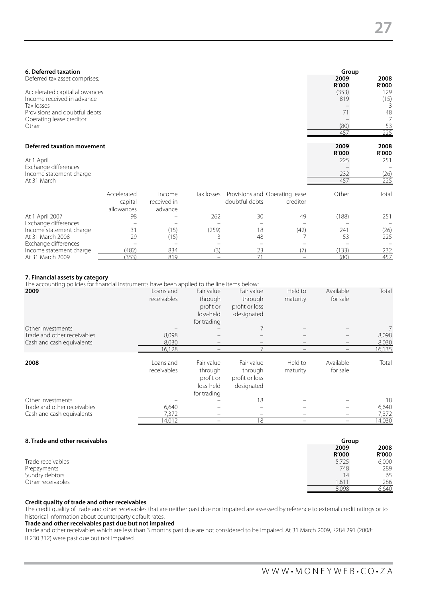| 6. Deferred taxation                   |             |             |            |                                |          | Group         |                      |
|----------------------------------------|-------------|-------------|------------|--------------------------------|----------|---------------|----------------------|
| Deferred tax asset comprises:          |             |             |            |                                |          | 2009<br>R'000 | 2008<br><b>R'000</b> |
| Accelerated capital allowances         |             |             |            |                                |          | (353)         | 129                  |
| Income received in advance             |             |             |            |                                |          | 819           | (15)                 |
| Tax losses                             |             |             |            |                                |          |               |                      |
| Provisions and doubtful debts          |             |             |            |                                |          | 71            | 48                   |
| Operating lease creditor               |             |             |            |                                |          |               |                      |
| Other                                  |             |             |            |                                |          | (80)          | 53                   |
|                                        |             |             |            |                                |          | 457           | 225                  |
| <b>Deferred taxation movement</b>      |             |             |            |                                |          | 2009          | 2008                 |
|                                        |             |             |            |                                |          | R'000         | <b>R'000</b>         |
| At 1 April                             |             |             |            |                                |          | 225           | 251                  |
| Exchange differences                   |             |             |            |                                |          |               |                      |
| Income statement charge<br>At 31 March |             |             |            |                                |          | 232<br>457    | (26)<br>225          |
|                                        |             |             |            |                                |          |               |                      |
|                                        | Accelerated | Income      | Tax losses | Provisions and Operating lease |          | Other         | Tota                 |
|                                        | capital     | received in |            | doubtful debts                 | creditor |               |                      |
|                                        | allowances  | advance     |            |                                |          |               |                      |
| At 1 April 2007                        | 98          |             | 262        | 30                             | 49       | (188)         | 251                  |
| Exchange differences                   |             |             |            |                                |          |               |                      |
| Income statement charge                | 31          | (15)        | (259)      | 18                             | (42)     | 241           | (26)                 |
| At 31 March 2008                       | 129         | (15)        | 3          | 48                             |          | 53            | 225                  |
| Exchange differences                   |             |             |            |                                |          |               |                      |
| Income statement charge                | (482)       | 834         | (3)        | 23                             | (7)      | (133)         | 232                  |

#### **7. Financial assets by category**

The accounting policies for financial instruments have been applied to the line items below:

| 2009<br>Other investments   | Loans and<br>receivables | Fair value<br>through<br>profit or<br>loss-held<br>for trading | Fair value<br>through<br>profit or loss<br>-designated | Held to<br>maturity | Available<br>for sale    | Total<br>7 |
|-----------------------------|--------------------------|----------------------------------------------------------------|--------------------------------------------------------|---------------------|--------------------------|------------|
| Trade and other receivables | 8,098                    |                                                                |                                                        |                     |                          | 8,098      |
| Cash and cash equivalents   | 8,030                    | $\overline{\phantom{0}}$                                       |                                                        |                     | $\overline{\phantom{0}}$ | 8,030      |
|                             | 16,128                   |                                                                |                                                        |                     |                          | 16,135     |
| 2008                        | Loans and<br>receivables | Fair value<br>through<br>profit or<br>loss-held<br>for trading | Fair value<br>through<br>profit or loss<br>-designated | Held to<br>maturity | Available<br>for sale    | Total      |
| Other investments           |                          |                                                                | 18                                                     |                     |                          | 18         |
| Trade and other receivables | 6,640                    |                                                                |                                                        |                     |                          | 6,640      |
| Cash and cash equivalents   | 7,372                    | -                                                              | -                                                      |                     | -                        | 7,372      |
|                             | 14,012                   |                                                                | 18                                                     |                     |                          | 14,030     |

At 31 March 2009 (353) 819 – 71 – (80) 457

| 8. Trade and other receivables | Group        |              |
|--------------------------------|--------------|--------------|
|                                | 2009         | 2008         |
|                                | <b>R'000</b> | <b>R'000</b> |
| Trade receivables              | 5,725        | 6,000        |
| Prepayments                    | 748          | 289          |
| Sundry debtors                 | 14           | 65           |
| Other receivables              | 1.611        | 286          |
|                                | 8,098        | 6.640        |

#### **Credit quality of trade and other receivables**

The credit quality of trade and other receivables that are neither past due nor impaired are assessed by reference to external credit ratings or to historical information about counterparty default rates.

#### **Trade and other receivables past due but not impaired**

Trade and other receivables which are less than 3 months past due are not considered to be impaired. At 31 March 2009, R284 291 (2008: R 230 312) were past due but not impaired.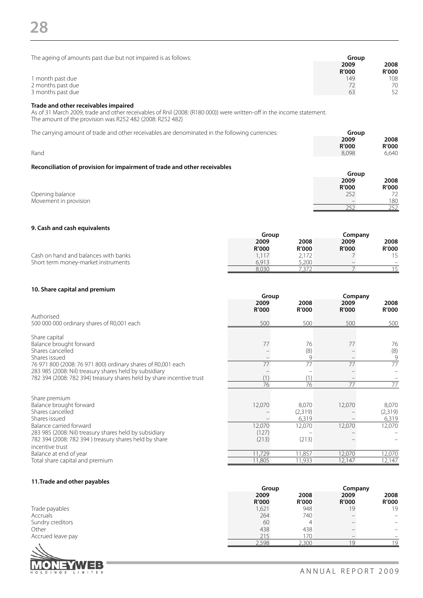| The ageing of amounts past due but not impaired is as follows:                                                                                                                                                             | Group<br>2009<br><b>R'000</b> | 2008<br><b>R'000</b>          |
|----------------------------------------------------------------------------------------------------------------------------------------------------------------------------------------------------------------------------|-------------------------------|-------------------------------|
| 1 month past due<br>2 months past due<br>3 months past due                                                                                                                                                                 | 149<br>72<br>63               | 108<br>70<br>52               |
| Trade and other receivables impaired<br>As of 31 March 2009, trade and other receivables of Rnil (2008: (R180 000)) were written-off in the income statement.<br>The amount of the provision was R252 482 (2008: R252 482) |                               |                               |
| The carrying amount of trade and other receivables are denominated in the following currencies:                                                                                                                            | Group                         |                               |
| Rand                                                                                                                                                                                                                       | 2009<br><b>R'000</b><br>8,098 | 2008<br><b>R'000</b><br>6.640 |
|                                                                                                                                                                                                                            |                               |                               |
| Reconciliation of provision for impairment of trade and other receivables                                                                                                                                                  | Group                         |                               |
|                                                                                                                                                                                                                            | 2009<br>D'OOO                 | 2008<br>המחים                 |

|                       | 2009                     | 2008         |
|-----------------------|--------------------------|--------------|
|                       | R'000                    | R'000        |
| Opening balance       | つにつ<br>LJL               | 72           |
| Movement in provision | $\overline{\phantom{a}}$ | 180          |
|                       | ີ                        | ายา<br>- - - |

#### **9. Cash and cash equivalents**

|                                      | Group        |              | Company                  |              |
|--------------------------------------|--------------|--------------|--------------------------|--------------|
|                                      | 2009         | 2008         | 2009                     | 2008         |
|                                      | <b>R'000</b> | <b>R'000</b> | R'000                    | <b>R'000</b> |
| Cash on hand and balances with banks | 1.117        |              |                          |              |
| Short term money-market instruments  | 6.913        | 5,200        | $\overline{\phantom{a}}$ | -            |
|                                      | 8.030        | ے ہیں        |                          |              |

#### **10. Share capital and premium**

|                                                                                                                        | Group<br>2009<br>R'000 | 2008                | Company<br>2009  | 2008<br><b>R'000</b> |
|------------------------------------------------------------------------------------------------------------------------|------------------------|---------------------|------------------|----------------------|
| Authorised<br>500 000 000 ordinary shares of R0,001 each                                                               | 500                    | <b>R'000</b><br>500 | R'000<br>500     | 500                  |
| Share capital                                                                                                          |                        |                     |                  |                      |
| Balance brought forward<br>Shares cancelled<br>Shares issued                                                           | 77                     | 76<br>(8)<br>9      | 77               | 76<br>(8)<br>9       |
| 76 971 800 (2008: 76 971 800) ordinary shares of R0,001 each<br>283 985 (2008: Nil) treasury shares held by subsidiary | 77                     | 77                  | 77               | $\overline{77}$      |
| 782 394 (2008: 782 394) treasury shares held by share incentive trust                                                  | (1)<br>76              | (1)<br>76           | 77               | 77                   |
| Share premium                                                                                                          |                        |                     |                  |                      |
| Balance brought forward<br>Shares cancelled                                                                            | 12,070                 | 8,070<br>(2,319)    | 12,070           | 8,070<br>(2,319)     |
| Shares issued<br>Balance carried forward<br>283 985 (2008: Nil) treasury shares held by subsidiary                     | 12,070<br>(127)        | 6,319<br>12,070     | 12,070           | 6,319<br>12,070      |
| 782 394 (2008: 782 394) treasury shares held by share<br>incentive trust                                               | (213)                  | (213)               |                  |                      |
| Balance at end of year<br>Total share capital and premium                                                              | 11,729<br>11,805       | 11,857<br>11,933    | 12,070<br>12,147 | 12,070<br>12,147     |

### **11.Trade and other payables**

|                   | Group         |               |               | Company        |  |
|-------------------|---------------|---------------|---------------|----------------|--|
|                   | 2009<br>R'000 | 2008<br>R'000 | 2009<br>R'000 | 2008<br>R'000  |  |
| Trade payables    | 1,621         | 948           | 19            | 19             |  |
| Accruals          | 264           | 740           |               | -              |  |
| Sundry creditors  | 60            | 4             |               |                |  |
| Other             | 438           | 438           |               | -              |  |
| Accrued leave pay | 215           | 170           |               |                |  |
|                   | 2,598         | 2,300         |               | 1 <sub>Q</sub> |  |

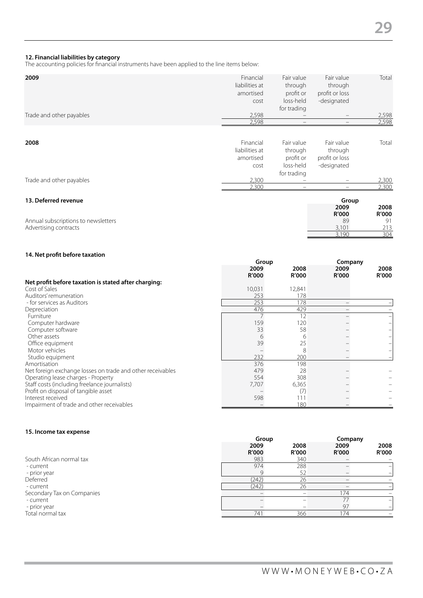#### **12. Financial liabilities by category**

The accounting policies for financial instruments have been applied to the line items below:

| 2009                                | Financial      | Fair value               | Fair value     | Total        |
|-------------------------------------|----------------|--------------------------|----------------|--------------|
|                                     | liabilities at | through                  | through        |              |
|                                     | amortised      | profit or                | profit or loss |              |
|                                     | cost           | loss-held                | -designated    |              |
|                                     |                | for trading              |                |              |
| Trade and other payables            | 2,598          |                          | -              | 2,598        |
|                                     | 2,598          |                          |                | 2,598        |
|                                     |                |                          |                |              |
| 2008                                | Financial      | Fair value               | Fair value     | Total        |
|                                     | liabilities at | through                  | through        |              |
|                                     | amortised      | profit or                | profit or loss |              |
|                                     |                | loss-held                | -designated    |              |
|                                     | cost           |                          |                |              |
|                                     |                | for trading              |                |              |
| Trade and other payables            | 2,300          |                          | -              | 2,300        |
|                                     | 2,300          | $\overline{\phantom{m}}$ | -              | 2,300        |
| 13. Deferred revenue                |                |                          | Group          |              |
|                                     |                |                          | 2009           | 2008         |
|                                     |                |                          | <b>R'000</b>   | <b>R'000</b> |
| Annual subscriptions to newsletters |                |                          | 89             | 91           |
| Advertising contracts               |                |                          | 3,101          | 213          |
|                                     |                |                          | 3,190          | 304          |

#### **14. Net profit before taxation**

|                                                            | Group                |               |                      | Company              |  |
|------------------------------------------------------------|----------------------|---------------|----------------------|----------------------|--|
|                                                            | 2009<br><b>R'000</b> | 2008<br>R'000 | 2009<br><b>R'000</b> | 2008<br><b>R'000</b> |  |
| Net profit before taxation is stated after charging:       |                      |               |                      |                      |  |
| Cost of Sales                                              | 10,031               | 12,841        |                      |                      |  |
| Auditors' remuneration                                     | 253                  | 178           |                      |                      |  |
| - for services as Auditors                                 | 253                  | 178           |                      |                      |  |
| Depreciation                                               | 476                  | 429           |                      |                      |  |
| Furniture                                                  |                      | 12            |                      |                      |  |
| Computer hardware                                          | 159                  | 120           |                      |                      |  |
| Computer software                                          | 33                   | 58            |                      |                      |  |
| Other assets                                               | 6                    | 6             |                      |                      |  |
| Office equipment                                           | 39                   | 25            |                      |                      |  |
| Motor vehicles                                             |                      | 8             |                      |                      |  |
| Studio equipment                                           | 232                  | 200           |                      |                      |  |
| Amortisation                                               | 376                  | 198           |                      |                      |  |
| Net foreign exchange losses on trade and other receivables | 479                  | 28            |                      |                      |  |
| Operating lease charges - Property                         | 554                  | 308           |                      |                      |  |
| Staff costs (including freelance journalists)              | 7,707                | 6,365         |                      |                      |  |
| Profit on disposal of tangible asset                       |                      | (7)           |                      |                      |  |
| Interest received                                          | 598                  | 111           |                      |                      |  |
| Impairment of trade and other receivables                  |                      | 180           |                      |                      |  |

#### **15. Income tax expense**

|                            | 2009<br><b>R'000</b> | 2008<br><b>R'000</b> | 2009<br><b>R'000</b> | 2008<br><b>R'000</b> |
|----------------------------|----------------------|----------------------|----------------------|----------------------|
| South African normal tax   | 983                  | 340                  |                      |                      |
| - current                  | 974                  | 288                  |                      |                      |
| - prior year               |                      | 52                   |                      |                      |
| Deferred                   | (242)                | 26                   |                      |                      |
| - current                  | (242)                | 26                   |                      |                      |
| Secondary Tax on Companies |                      |                      | 174                  |                      |
| - current                  |                      |                      |                      |                      |
| - prior year               |                      |                      | 97                   |                      |
| Total normal tax           | 741                  | 366                  | 74                   |                      |
|                            |                      |                      |                      |                      |

**Group Company**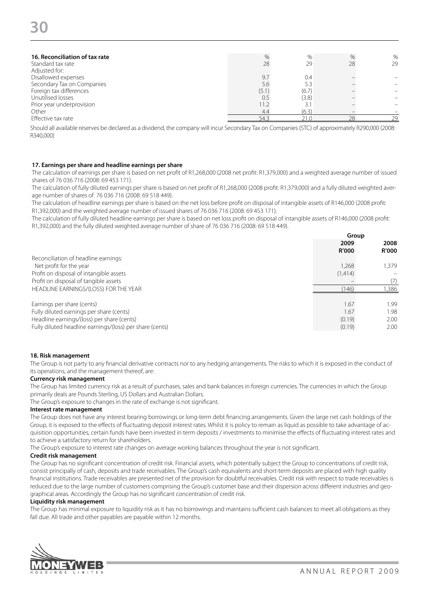| 16. Reconciliation of tax rate | %     | $\%$  | $\%$ | $\%$ |
|--------------------------------|-------|-------|------|------|
| Standard tax rate              | 28    | 29    | 28   | 29   |
| Adjusted for:                  |       |       |      |      |
| Disallowed expenses            | 9.7   | 0.4   |      |      |
| Secondary Tax on Companies     | 5.6   | 5.3   |      |      |
| Foreign tax differences        | (5.1) | (6.7) |      |      |
| Unutilised losses              | 0.5   | (3.8) |      |      |
| Prior year underprovision      | 11.2  | 3.1   |      |      |
| Other                          | 4.4   | (6.3) |      |      |
| Effective tax rate             | 543   |       | 28   | 29   |
|                                |       |       |      |      |

Should all available reserves be declared as a dividend, the company will incur Secondary Tax on Companies (STC) of approximately R290,000 (2008: R340,000)

#### **17. Earnings per share and headline earnings per share**

The calculation of earnings per share is based on net profit of R1,268,000 (2008 net profit: R1,379,000) and a weighted average number of issued shares of 76 036 716 (2008: 69 453 171).

The calculation of fully diluted earnings per share is based on net profit of R1,268,000 (2008 profit: R1,379,000) and a fully diluted weighted average number of shares of 76 036 716 (2008: 69 518 449).

The calculation of headline earnings per share is based on the net loss before profit on disposal of intangible assets of R146,000 (2008 profit: R1,392,000) and the weighted average number of issued shares of 76 036 716 (2008: 69 453 171).

The calculation of fully diluted headline earnings per share is based on net loss profit on disposal of intangible assets of R146,000 (2008 profit: R1,392,000) and the fully diluted weighted average number of share of 76 036 716 (2008: 69 518 449).

|                                                          | Group                |                      |
|----------------------------------------------------------|----------------------|----------------------|
|                                                          | 2009<br><b>R'000</b> | 2008<br><b>R'000</b> |
| Reconciliation of headline earnings:                     |                      |                      |
| Net profit for the year                                  | 1,268                | 1.379                |
| Profit on disposal of intangible assets                  | (1,414)              |                      |
| Profit on disposal of tangible assets                    |                      | (7)                  |
| HEADLINE EARNINGS/(LOSS) FOR THE YEAR                    | (146)                | ,386                 |
|                                                          |                      |                      |
| Earnings per share (cents)                               | 1.67                 | 1.99                 |
| Fully diluted earnings per share (cents)                 | 1.67                 | 1.98                 |
| Headline earnings/(loss) per share (cents)               | (0.19)               | 2.00                 |
| Fully diluted headline earnings/(loss) per share (cents) | (0.19)               | 2.00                 |

#### **18. Risk management**

The Group is not party to any financial derivative contracts nor to any hedging arrangements. The risks to which it is exposed in the conduct of its operations, and the management thereof, are:

#### **Currency risk management**

The Group has limited currency risk as a result of purchases, sales and bank balances in foreign currencies. The currencies in which the Group primarily deals are Pounds Sterling, US Dollars and Australian Dollars.

The Group's exposure to changes in the rate of exchange is not significant.

#### **Interest rate management**

The Group does not have any interest bearing borrowings or long-term debt financing arrangements. Given the large net cash holdings of the Group, it is exposed to the effects of fluctuating deposit interest rates. Whilst it is policy to remain as liquid as possible to take advantage of acquisition opportunities, certain funds have been invested in term deposits / investments to minimise the effects of fluctuating interest rates and to achieve a satisfactory return for shareholders.

The Group's exposure to interest rate changes on average working balances throughout the year is not significant.

#### **Credit risk management**

The Group has no significant concentration of credit risk. Financial assets, which potentially subject the Group to concentrations of credit risk, consist principally of cash, deposits and trade receivables. The Group's cash equivalents and short-term deposits are placed with high quality financial institutions. Trade receivables are presented net of the provision for doubtful receivables. Credit risk with respect to trade receivables is reduced due to the large number of customers comprising the Group's customer base and their dispersion across different industries and geographical areas. Accordingly the Group has no significant concentration of credit risk.

#### **Liquidity risk management**

The Group has minimal exposure to liquidity risk as it has no borrowings and maintains sufficient cash balances to meet all obligations as they fall due. All trade and other payables are payable within 12 months.

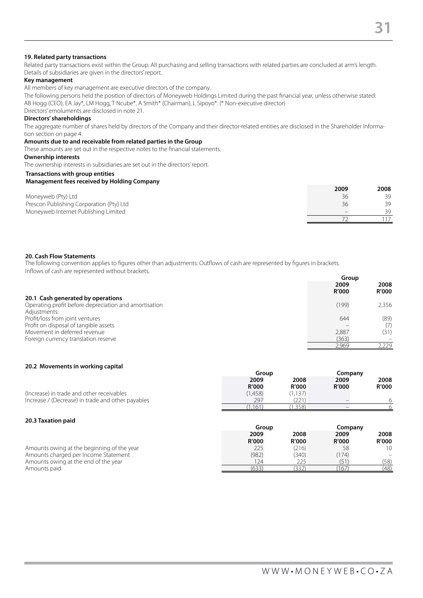#### **19. Related party transactions**

Related party transactions exist within the Group. All purchasing and selling transactions with related parties are concluded at arm's length. Details of subsidiaries are given in the directors' report.

#### **Key management**

All members of key management are executive directors of the company.

The following persons held the position of directors of Moneyweb Holdings Limited during the past financial year, unless otherwise stated: AB Hogg (CEO), EA Jay\*, LM Hogg, T Ncube\*, A Smith\* (Chairman), L Sipoyo\*. (\* Non-executive director) Directors' emoluments are disclosed in note 21.

#### **Directors' shareholdings**

The aggregate number of shares held by directors of the Company and their director-related entities are disclosed in the Shareholder Information section on page 4.

#### **Amounts due to and receivable from related parties in the Group**

These amounts are set out in the respective notes to the financial statements.

#### **Ownership interests**

The ownership interests in subsidiaries are set out in the directors' report.

#### **Transactions with group entities**

#### **Management fees received by Holding Company**

|                                          | 2009 | 2008 |
|------------------------------------------|------|------|
| Moneyweb (Pty) Ltd                       | 36   | 39   |
| Prescon Publishing Corporation (Pty) Ltd | 36   | 39   |
| Moneyweb Internet Publishing Limited     |      | 30   |
|                                          |      |      |

#### **20. Cash Flow Statements**

The following convention applies to figures other than adjustments: Outflows of cash are represented by figures in brackets. Inflows of cash are represented without brackets.

|                                                       | Group                |                      |  |
|-------------------------------------------------------|----------------------|----------------------|--|
|                                                       | 2009<br><b>R'000</b> | 2008<br><b>R'000</b> |  |
| 20.1 Cash generated by operations                     |                      |                      |  |
| Operating profit before depreciation and amortisation | (199)                | 2,356                |  |
| Adjustments:                                          |                      |                      |  |
| Profit/loss from joint ventures                       | 644                  | (89)                 |  |
| Profit on disposal of tangible assets                 |                      | (7)                  |  |
| Movement in deferred revenue                          | 2,887                | (31)                 |  |
| Foreign currency translation reserve                  | (363)                |                      |  |
|                                                       | 2.969                | 2.229                |  |

#### **20.2 Movements in working capital**

|                                                   | Group        |              | Company      |              |      |      |
|---------------------------------------------------|--------------|--------------|--------------|--------------|------|------|
|                                                   | 2009<br>2008 |              |              |              | 2009 | 2008 |
|                                                   | <b>R'000</b> | <b>R'000</b> | <b>R'000</b> | <b>R'000</b> |      |      |
| (Increase) in trade and other receivables         | (1.458)      | (1.137)      |              |              |      |      |
| Increase / (Decrease) in trade and other payables | 297          | 221          |              |              |      |      |
|                                                   | 161          | .358)        |              |              |      |      |

#### **20.3 Taxation paid**

|                                            | Group        |              |              | Company      |  |
|--------------------------------------------|--------------|--------------|--------------|--------------|--|
|                                            | 2009         | 2008         | 2009         | 2008         |  |
|                                            | <b>R'000</b> | <b>R'000</b> | <b>R'000</b> | <b>R'000</b> |  |
| Amounts owing at the beginning of the year | 225          | (216)        | 58           | 10           |  |
| Amounts charged per Income Statement       | (982)        | (340)        | (174)        |              |  |
| Amounts owing at the end of the year       | '24          | 225          |              | (58)         |  |
| Amounts paid                               | (633         | .332         | 167          | (48)         |  |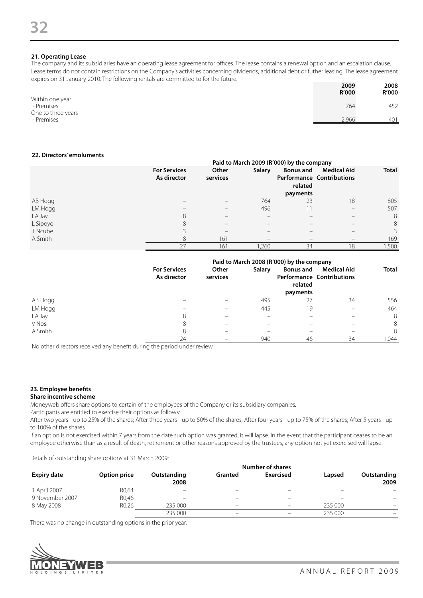#### **21. Operating Lease**

The company and its subsidiaries have an operating lease agreement for offices. The lease contains a renewal option and an escalation clause. Lease terms do not contain restrictions on the Company's activities concerning dividends, additional debt or futher leasing. The lease agreement expires on 31 January 2010. The following rentals are committed to for the future.

|                                  | 2009<br>R'000 | 2008<br><b>R'000</b> |
|----------------------------------|---------------|----------------------|
| Within one year<br>- Premises    | 764           | 452                  |
| One to three years<br>- Premises | 2,966         | 401                  |

#### **22. Directors' emoluments**

|          |                                    | Paid to March 2009 (R'000) by the company |                                                                           |                             |                                                        |              |
|----------|------------------------------------|-------------------------------------------|---------------------------------------------------------------------------|-----------------------------|--------------------------------------------------------|--------------|
|          | <b>For Services</b><br>As director | Other<br>services                         | <b>Salary</b>                                                             | <b>Bonus and</b><br>related | <b>Medical Aid</b><br><b>Performance Contributions</b> | <b>Total</b> |
|          |                                    |                                           |                                                                           | payments                    |                                                        |              |
| AB Hogg  |                                    |                                           | 764                                                                       | 23                          | 18                                                     | 805          |
| LM Hogg  | $\overline{\phantom{a}}$           |                                           | 496                                                                       |                             | $\overline{\phantom{a}}$                               | 507          |
| EA Jay   | 8                                  |                                           | $\hspace{1.0cm} \rule{1.5cm}{0.15cm} \hspace{1.0cm} \rule{1.5cm}{0.15cm}$ |                             |                                                        | 8            |
| L Sipoyo | 8                                  |                                           | $\qquad \qquad \blacksquare$                                              |                             | $\overline{\phantom{a}}$                               | 8            |
| T Ncube  |                                    | -                                         | $\overline{\phantom{a}}$                                                  |                             | $\overline{\phantom{a}}$                               | 3            |
| A Smith  | 8                                  | 161                                       | $\hspace{1.0cm} \rule{1.5cm}{0.15cm} \hspace{1.0cm} \rule{1.5cm}{0.15cm}$ | -                           |                                                        | 169          |
|          | 27                                 | 161                                       | ,260                                                                      | 34                          | 18                                                     | ,500         |

|         |                                    | Paid to March 2008 (R'000) by the company |                          |                                         |                                                        |              |
|---------|------------------------------------|-------------------------------------------|--------------------------|-----------------------------------------|--------------------------------------------------------|--------------|
|         | <b>For Services</b><br>As director | Other<br>services                         | <b>Salary</b>            | <b>Bonus and</b><br>related<br>payments | <b>Medical Aid</b><br><b>Performance Contributions</b> | <b>Total</b> |
| AB Hogg |                                    |                                           | 495                      | 27                                      | 34                                                     | 556          |
| LM Hogg |                                    |                                           | 445                      | 19                                      |                                                        | 464          |
| EA Jay  | 8                                  | -                                         | $\overline{\phantom{a}}$ |                                         |                                                        | 8            |
| V Nosi  | 8                                  | -                                         | $\overline{\phantom{a}}$ |                                         |                                                        | 8            |
| A Smith | 8                                  | -                                         | $\overline{\phantom{a}}$ |                                         |                                                        | 8            |
|         | 24                                 |                                           | 940                      | 46                                      | 34                                                     | .044         |

No other directors received any benefit during the period under review.

#### **23. Employee benefits**

#### **Share incentive scheme**

Moneyweb offers share options to certain of the employees of the Company or its subsidiary companies.

Participants are entitled to exercise their options as follows:

After two years - up to 25% of the shares; After three years - up to 50% of the shares; After four years - up to 75% of the shares; After 5 years - up to 100% of the shares

If an option is not exercised within 7 years from the date such option was granted, it will lapse. In the event that the participant ceases to be an employee otherwise than as a result of death, retirement or other reasons approved by the trustees, any option not yet exercised will lapse.

Details of outstanding share options at 31 March 2009:

|                    | Number of shares   |                          |         |                          |                          |                          |  |
|--------------------|--------------------|--------------------------|---------|--------------------------|--------------------------|--------------------------|--|
| <b>Expiry date</b> | Option price       | Outstanding<br>2008      | Granted | Exercised                | Lapsed                   | Outstanding<br>2009      |  |
| 1 April 2007       | R0,64              | $\overline{\phantom{a}}$ | -       | $\overline{\phantom{a}}$ | $\overline{\phantom{a}}$ | -                        |  |
| 9 November 2007    | R0,46              | $\overline{\phantom{a}}$ | -       | $\overline{\phantom{a}}$ | $\overline{\phantom{a}}$ | $\overline{\phantom{0}}$ |  |
| 8 May 2008         | R <sub>0</sub> ,26 | 235 000                  | -       | $\overline{\phantom{a}}$ | 235 000                  | -                        |  |
|                    |                    | 235 000                  | -       |                          | 235 000                  |                          |  |

There was no change in outstanding options in the prior year.

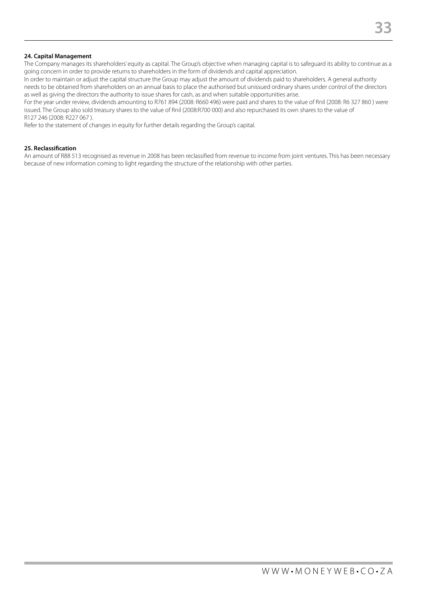The Company manages its shareholders' equity as capital. The Group's objective when managing capital is to safeguard its ability to continue as a going concern in order to provide returns to shareholders in the form of dividends and capital appreciation.

In order to maintain or adjust the capital structure the Group may adjust the amount of dividends paid to shareholders. A general authority needs to be obtained from shareholders on an annual basis to place the authorised but unissued ordinary shares under control of the directors as well as giving the directors the authority to issue shares for cash, as and when suitable opportunities arise.

For the year under review, dividends amounting to R761 894 (2008: R660 496) were paid and shares to the value of Rnil (2008: R6 327 860 ) were issued. The Group also sold treasury shares to the value of Rnil (2008:R700 000) and also repurchased its own shares to the value of R127 246 (2008: R227 067 ).

Refer to the statement of changes in equity for further details regarding the Group's capital.

#### **25. Reclassification**

An amount of R88 513 recognised as revenue in 2008 has been reclassified from revenue to income from joint ventures. This has been necessary because of new information coming to light regarding the structure of the relationship with other parties.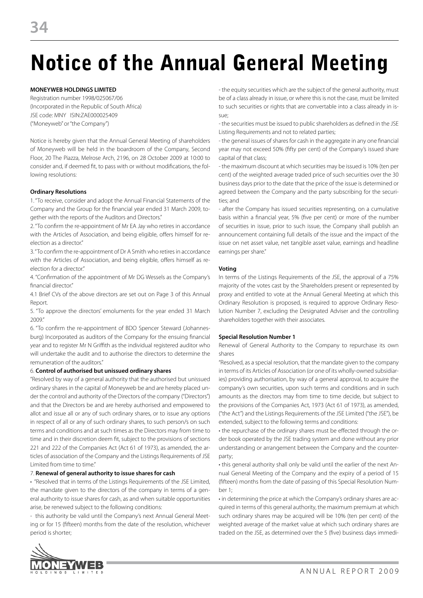## Notice of the Annual General Meeting

#### **MONEYWEB HOLDINGS LIMITED**

Registration number 1998/025067/06 (Incorporated in the Republic of South Africa) JSE code: MNY ISIN:ZAE000025409 ("Moneyweb" or "the Company")

Notice is hereby given that the Annual General Meeting of shareholders of Moneyweb will be held in the boardroom of the Company, Second Floor, 20 The Piazza, Melrose Arch, 2196, on 28 October 2009 at 10:00 to consider and, if deemed fit, to pass with or without modifications, the following resolutions:

#### **Ordinary Resolutions**

1. "To receive, consider and adopt the Annual Financial Statements of the Company and the Group for the financial year ended 31 March 2009, together with the reports of the Auditors and Directors."

2. "To confirm the re-appointment of Mr EA Jay who retires in accordance with the Articles of Association, and being eligible, offers himself for reelection as a director<sup>"</sup>

3. "To confirm the re-appointment of Dr A Smith who retires in accordance with the Articles of Association, and being eligible, offers himself as reelection for a director"

4. "Confirmation of the appointment of Mr DG Wessels as the Company's financial director"

4.1 Brief CVs of the above directors are set out on Page 3 of this Annual Report.

5. "To approve the directors' emoluments for the year ended 31 March 2009."

6. "To confirm the re-appointment of BDO Spencer Steward (Johannesburg) Incorporated as auditors of the Company for the ensuing financial year and to register Mr N Griffith as the individual registered auditor who will undertake the audit and to authorise the directors to determine the remuneration of the auditors."

#### 6. **Control of authorised but unissued ordinary shares**

"Resolved by way of a general authority that the authorised but unissued ordinary shares in the capital of Moneyweb be and are hereby placed under the control and authority of the Directors of the company ("Directors") and that the Directors be and are hereby authorised and empowered to allot and issue all or any of such ordinary shares, or to issue any options in respect of all or any of such ordinary shares, to such person/s on such terms and conditions and at such times as the Directors may from time to time and in their discretion deem fit, subject to the provisions of sections 221 and 222 of the Companies Act (Act 61 of 1973), as amended, the articles of association of the Company and the Listings Requirements of JSE Limited from time to time."

#### 7. **Renewal of general authority to issue shares for cash**

• "Resolved that in terms of the Listings Requirements of the JSE Limited, the mandate given to the directors of the company in terms of a general authority to issue shares for cash, as and when suitable opportunities arise, be renewed subject to the following conditions:

- this authority be valid until the Company's next Annual General Meeting or for 15 (fifteen) months from the date of the resolution, whichever period is shorter;

- the equity securities which are the subject of the general authority, must be of a class already in issue, or where this is not the case, must be limited to such securities or rights that are convertable into a class already in issue;

- the securities must be issued to public shareholders as defined in the JSE Listing Requirements and not to related parties;

- the general issues of shares for cash in the aggregate in any one financial year may not exceed 50% (fifty per cent) of the Company's issued share capital of that class;

- the maximum discount at which securities may be issued is 10% (ten per cent) of the weighted average traded price of such securities over the 30 business days prior to the date that the price of the issue is determined or agreed between the Company and the party subscribing for the securities; and

- after the Company has issued securities representing, on a cumulative basis within a financial year, 5% (five per cent) or more of the number of securities in issue, prior to such issue, the Company shall publish an announcement containing full details of the issue and the impact of the issue on net asset value, net tangible asset value, earnings and headline earnings per share."

#### **Voting**

In terms of the Listings Requirements of the JSE, the approval of a 75% majority of the votes cast by the Shareholders present or represented by proxy and entitled to vote at the Annual General Meeting at which this Ordinary Resolution is proposed, is required to approve Ordinary Resolution Number 7, excluding the Designated Adviser and the controlling shareholders together with their associates.

#### **Special Resolution Number 1**

Renewal of General Authority to the Company to repurchase its own shares

"Resolved, as a special resolution, that the mandate given to the company in terms of its Articles of Association (or one of its wholly-owned subsidiaries) providing authorisation, by way of a general approval, to acquire the company's own securities, upon such terms and conditions and in such amounts as the directors may from time to time decide, but subject to the provisions of the Companies Act, 1973 (Act 61 of 1973), as amended, ("the Act") and the Listings Requirements of the JSE Limited ("the JSE"), be extended, subject to the following terms and conditions:

• the repurchase of the ordinary shares must be effected through the order book operated by the JSE trading system and done without any prior understanding or arrangement between the Company and the counterparty;

• this general authority shall only be valid until the earlier of the next Annual General Meeting of the Company and the expiry of a period of 15 (fifteen) months from the date of passing of this Special Resolution Number 1;

• in determining the price at which the Company's ordinary shares are acquired in terms of this general authority, the maximum premium at which such ordinary shares may be acquired will be 10% (ten per cent) of the weighted average of the market value at which such ordinary shares are traded on the JSE, as determined over the 5 (five) business days immedi-

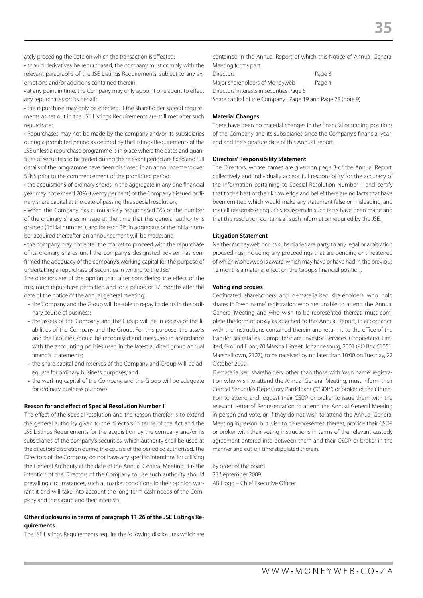• should derivatives be repurchased, the company must comply with the relevant paragraphs of the JSE Listings Requirements; subject to any exemptions and/or additions contained therein;

• at any point in time, the Company may only appoint one agent to effect any repurchases on its behalf;

• the repurchase may only be effected, if the shareholder spread requirements as set out in the JSE Listings Requirements are still met after such repurchase;

• Repurchases may not be made by the company and/or its subsidiaries during a prohibited period as defined by the Listings Requirements of the JSE unless a repurchase programme is in place where the dates and quantities of securities to be traded during the relevant period are fixed and full details of the programme have been disclosed in an announcement over SENS prior to the commencement of the prohibited period;

• the acquisitions of ordinary shares in the aggregate in any one financial year may not exceed 20% (twenty per cent) of the Company's issued ordinary share capital at the date of passing this special resolution;

• when the Company has cumulatively repurchased 3% of the number of the ordinary shares in issue at the time that this general authority is granted ("initial number"), and for each 3% in aggregate of the initial number acquired thereafter, an announcement will be made; and

• the company may not enter the market to proceed with the repurchase of its ordinary shares until the company's designated adviser has confirmed the adequacy of the company's working capital for the purpose of undertaking a repurchase of securities in writing to the JSE."

The directors are of the opnion that, after considering the effect of the maximum repurchase permitted and for a period of 12 months after the date of the notice of the annual general meeting:

- the Company and the Group will be able to repay its debts in the ordinary course of business;
- the assets of the Company and the Group will be in excess of the liabilities of the Company and the Group. For this purpose, the assets and the liabilities should be recognised and measured in accordance with the accounting policies used in the latest audited group annual financial statements;
- the share capital and reserves of the Company and Group will be adequate for ordinary business purposes; and
- the working capital of the Company and the Group will be adequate for ordinary business purposes.

#### **Reason for and effect of Special Resolution Number 1**

The effect of the special resolution and the reason therefor is to extend the general authority given to the directors in terms of the Act and the JSE Listings Requirements for the acquisition by the company and/or its subsidiaries of the company's securities, which authority shall be used at the directors' discretion during the course of the period so authorised. The Directors of the Company do not have any specific intentions for utilising the General Authority at the date of the Annual General Meeting. It is the intention of the Directors of the Company to use such authority should prevailing circumstances, such as market conditions, in their opinion warrant it and will take into account the long term cash needs of the Company and the Group and their interests.

#### **Other disclosures in terms of paragraph 11.26 of the JSE Listings Requirements**

The JSE Listings Requirements require the following disclosures which are

contained in the Annual Report of which this Notice of Annual General Meeting forms part:

| <b>Directors</b>                          | Page 3 |
|-------------------------------------------|--------|
| Major shareholders of Moneyweb            | Page 4 |
| Directors' interests in securities Page 5 |        |

Share capital of the Company Page 19 and Page 28 (note 9)

#### **Material Changes**

There have been no material changes in the financial or trading positions of the Company and its subsidiaries since the Company's financial yearend and the signature date of this Annual Report.

#### **Directors' Responsibility Statement**

The Directors, whose names are given on page 3 of the Annual Report, collectively and individually accept full responsibility for the accuracy of the information pertaining to Special Resolution Number 1 and certify that to the best of their knowledge and belief there are no facts that have been omitted which would make any statement false or misleading, and that all reasonable enquiries to ascertain such facts have been made and that this resolution contains all such information required by the JSE.

#### **Litigation Statement**

Neither Moneyweb nor its subsidiaries are party to any legal or arbitration proceedings, including any proceedings that are pending or threatened of which Moneyweb is aware, which may have or have had in the previous 12 months a material effect on the Group's financial position.

#### **Voting and proxies**

Certificated shareholders and dematerialised shareholders who hold shares in "own name" registration who are unable to attend the Annual General Meeting and who wish to be represented thereat, must complete the form of proxy as attached to this Annual Report, in accordance with the instructions contained therein and return it to the office of the transfer secretaries, Computershare Investor Services (Proprietary) Limited, Ground Floor, 70 Marshall Street, Johannesburg, 2001 (PO Box 61051, Marshalltown, 2107), to be received by no later than 10:00 on Tuesday, 27 October 2009.

Dematerialised shareholders, other than those with "own name" registration who wish to attend the Annual General Meeting, must inform their Central Securities Depository Participant ("CSDP") or broker of their intention to attend and request their CSDP or broker to issue them with the relevant Letter of Representation to attend the Annual General Meeting in person and vote, or, if they do not wish to attend the Annual General Meeting in person, but wish to be represented thereat, provide their CSDP or broker with their voting instructions in terms of the relevant custody agreement entered into between them and their CSDP or broker in the manner and cut-off time stipulated therein.

By order of the board 23 September 2009 AB Hogg – Chief Executive Officer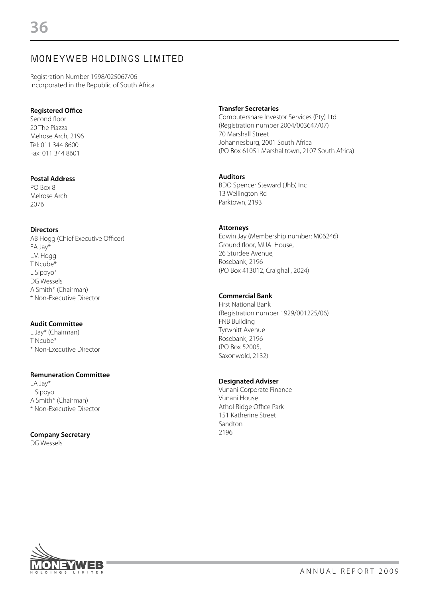### MONEYWEB HOLDINGS LIMITED

Registration Number 1998/025067/06 Incorporated in the Republic of South Africa

#### **Registered Office**

Second floor 20 The Piazza Melrose Arch, 2196 Tel: 011 344 8600 Fax: 011 344 8601

#### **Postal Address**

PO Box 8 Melrose Arch 2076

#### **Directors**

AB Hogg (Chief Executive Officer) EA Jay\* LM Hogg T Ncube\* L Sipoyo\* DG Wessels A Smith\* (Chairman) \* Non-Executive Director

#### **Audit Committee**

E Jay\* (Chairman) T Ncube\* \* Non-Executive Director

#### **Remuneration Committee**

EA Jay\* L Sipoyo A Smith\* (Chairman) \* Non-Executive Director

#### **Company Secretary**

DG Wessels

#### **Transfer Secretaries**

Computershare Investor Services (Pty) Ltd (Registration number 2004/003647/07) 70 Marshall Street Johannesburg, 2001 South Africa (PO Box 61051 Marshalltown, 2107 South Africa)

#### **Auditors**

BDO Spencer Steward (Jhb) Inc 13 Wellington Rd Parktown, 2193

#### **Attorneys**

Edwin Jay (Membership number: M06246) Ground floor, MUAI House, 26 Sturdee Avenue, Rosebank, 2196 (PO Box 413012, Craighall, 2024)

#### **Commercial Bank**

First National Bank (Registration number 1929/001225/06) FNB Building Tyrwhitt Avenue Rosebank, 2196 (PO Box 52005, Saxonwold, 2132)

#### **Designated Adviser**

Vunani Corporate Finance Vunani House Athol Ridge Office Park 151 Katherine Street Sandton 2196